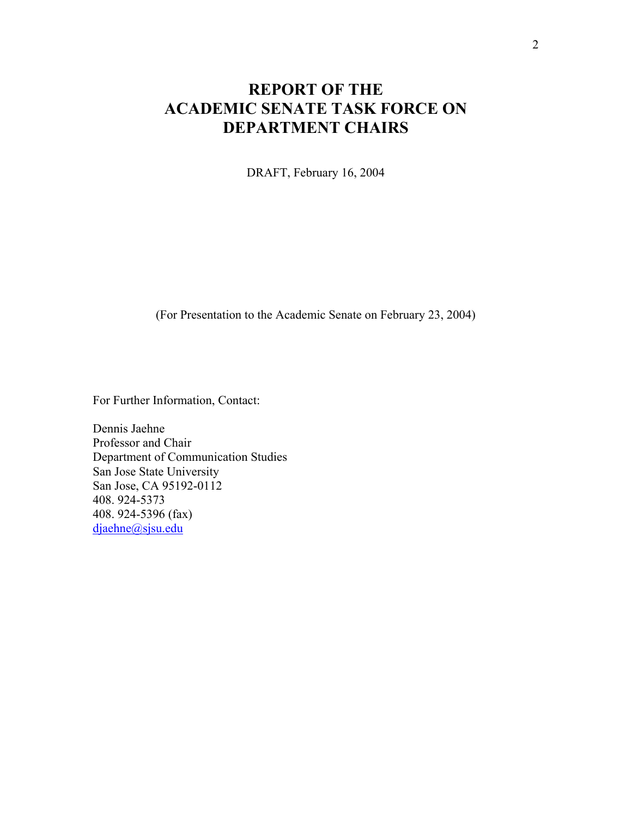# **REPORT OF THE ACADEMIC SENATE TASK FORCE ON DEPARTMENT CHAIRS**

DRAFT, February 16, 2004

(For Presentation to the Academic Senate on February 23, 2004)

For Further Information, Contact:

Dennis Jaehne Professor and Chair Department of Communication Studies San Jose State University San Jose, CA 95192-0112 408. 924-5373 408. 924-5396 (fax) djaehne@sjsu.edu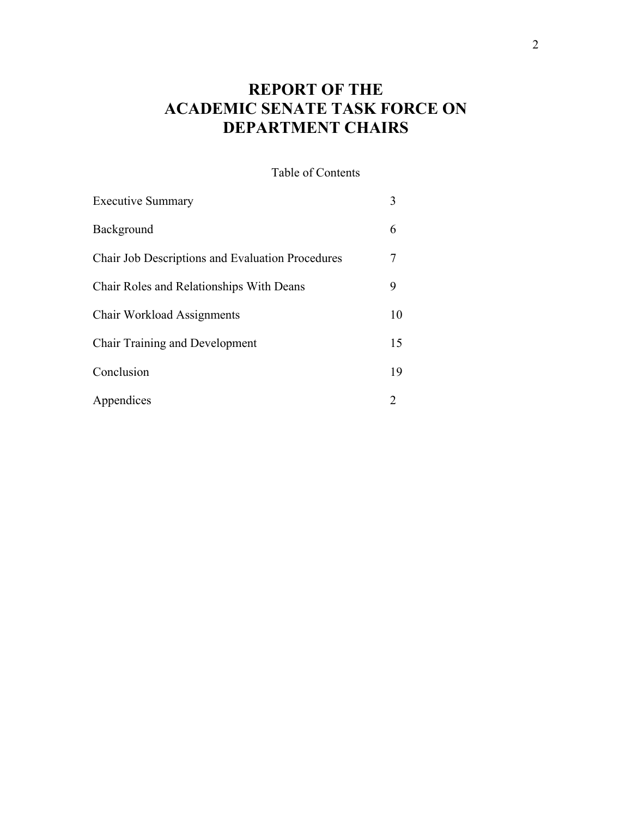# **REPORT OF THE ACADEMIC SENATE TASK FORCE ON DEPARTMENT CHAIRS**

Table of Contents

| <b>Executive Summary</b>                                | 3  |
|---------------------------------------------------------|----|
| Background                                              | 6  |
| <b>Chair Job Descriptions and Evaluation Procedures</b> | 7  |
| Chair Roles and Relationships With Deans                | 9  |
| <b>Chair Workload Assignments</b>                       | 10 |
| <b>Chair Training and Development</b>                   | 15 |
| Conclusion                                              | 19 |
| Appendices                                              | 2  |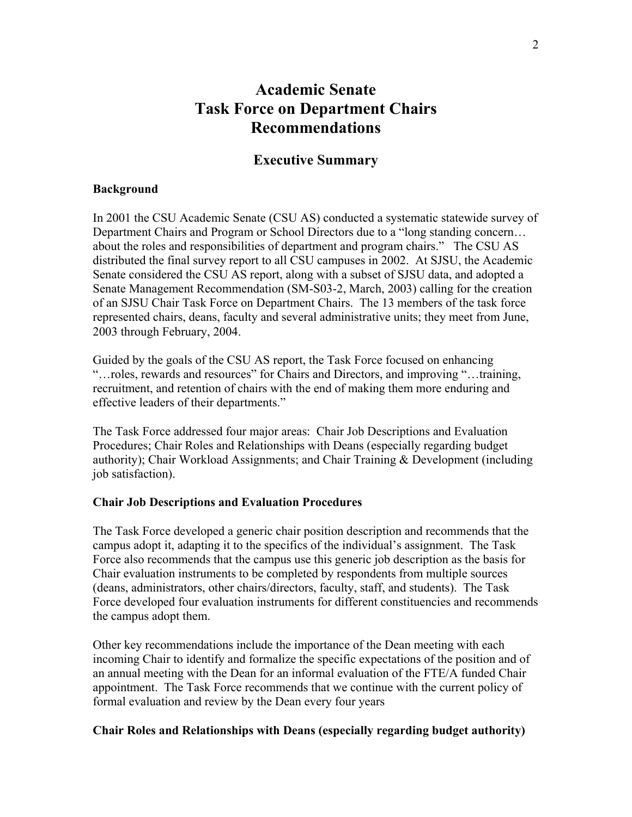## **Academic Senate Task Force on Department Chairs Recommendations**

## **Executive Summary**

#### **Background**

In 2001 the CSU Academic Senate (CSU AS) conducted a systematic statewide survey of Department Chairs and Program or School Directors due to a "long standing concern… about the roles and responsibilities of department and program chairs." The CSU AS distributed the final survey report to all CSU campuses in 2002. At SJSU, the Academic Senate considered the CSU AS report, along with a subset of SJSU data, and adopted a Senate Management Recommendation (SM-S03-2, March, 2003) calling for the creation of an SJSU Chair Task Force on Department Chairs. The 13 members of the task force represented chairs, deans, faculty and several administrative units; they meet from June, 2003 through February, 2004.

Guided by the goals of the CSU AS report, the Task Force focused on enhancing "…roles, rewards and resources" for Chairs and Directors, and improving "…training, recruitment, and retention of chairs with the end of making them more enduring and effective leaders of their departments."

The Task Force addressed four major areas: Chair Job Descriptions and Evaluation Procedures; Chair Roles and Relationships with Deans (especially regarding budget authority); Chair Workload Assignments; and Chair Training & Development (including job satisfaction).

#### **Chair Job Descriptions and Evaluation Procedures**

The Task Force developed a generic chair position description and recommends that the campus adopt it, adapting it to the specifics of the individual's assignment. The Task Force also recommends that the campus use this generic job description as the basis for Chair evaluation instruments to be completed by respondents from multiple sources (deans, administrators, other chairs/directors, faculty, staff, and students). The Task Force developed four evaluation instruments for different constituencies and recommends the campus adopt them.

Other key recommendations include the importance of the Dean meeting with each incoming Chair to identify and formalize the specific expectations of the position and of an annual meeting with the Dean for an informal evaluation of the FTE/A funded Chair appointment. The Task Force recommends that we continue with the current policy of formal evaluation and review by the Dean every four years

#### **Chair Roles and Relationships with Deans (especially regarding budget authority)**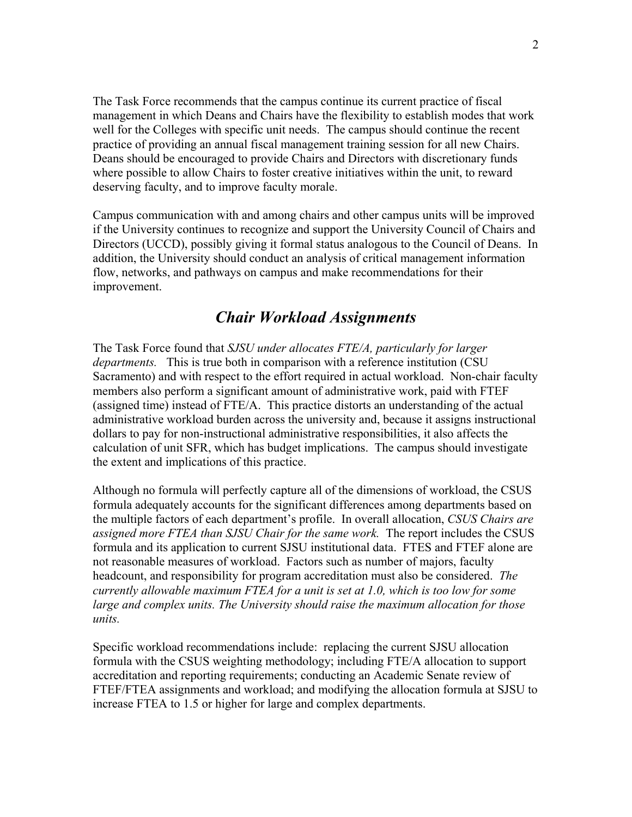The Task Force recommends that the campus continue its current practice of fiscal management in which Deans and Chairs have the flexibility to establish modes that work well for the Colleges with specific unit needs. The campus should continue the recent practice of providing an annual fiscal management training session for all new Chairs. Deans should be encouraged to provide Chairs and Directors with discretionary funds where possible to allow Chairs to foster creative initiatives within the unit, to reward deserving faculty, and to improve faculty morale.

Campus communication with and among chairs and other campus units will be improved if the University continues to recognize and support the University Council of Chairs and Directors (UCCD), possibly giving it formal status analogous to the Council of Deans. In addition, the University should conduct an analysis of critical management information flow, networks, and pathways on campus and make recommendations for their improvement.

## *Chair Workload Assignments*

The Task Force found that *SJSU under allocates FTE/A, particularly for larger departments.* This is true both in comparison with a reference institution (CSU Sacramento) and with respect to the effort required in actual workload. Non-chair faculty members also perform a significant amount of administrative work, paid with FTEF (assigned time) instead of FTE/A. This practice distorts an understanding of the actual administrative workload burden across the university and, because it assigns instructional dollars to pay for non-instructional administrative responsibilities, it also affects the calculation of unit SFR, which has budget implications. The campus should investigate the extent and implications of this practice.

Although no formula will perfectly capture all of the dimensions of workload, the CSUS formula adequately accounts for the significant differences among departments based on the multiple factors of each department's profile. In overall allocation, *CSUS Chairs are assigned more FTEA than SJSU Chair for the same work.* The report includes the CSUS formula and its application to current SJSU institutional data. FTES and FTEF alone are not reasonable measures of workload. Factors such as number of majors, faculty headcount, and responsibility for program accreditation must also be considered. *The currently allowable maximum FTEA for a unit is set at 1.0, which is too low for some large and complex units. The University should raise the maximum allocation for those units.*

Specific workload recommendations include: replacing the current SJSU allocation formula with the CSUS weighting methodology; including FTE/A allocation to support accreditation and reporting requirements; conducting an Academic Senate review of FTEF/FTEA assignments and workload; and modifying the allocation formula at SJSU to increase FTEA to 1.5 or higher for large and complex departments.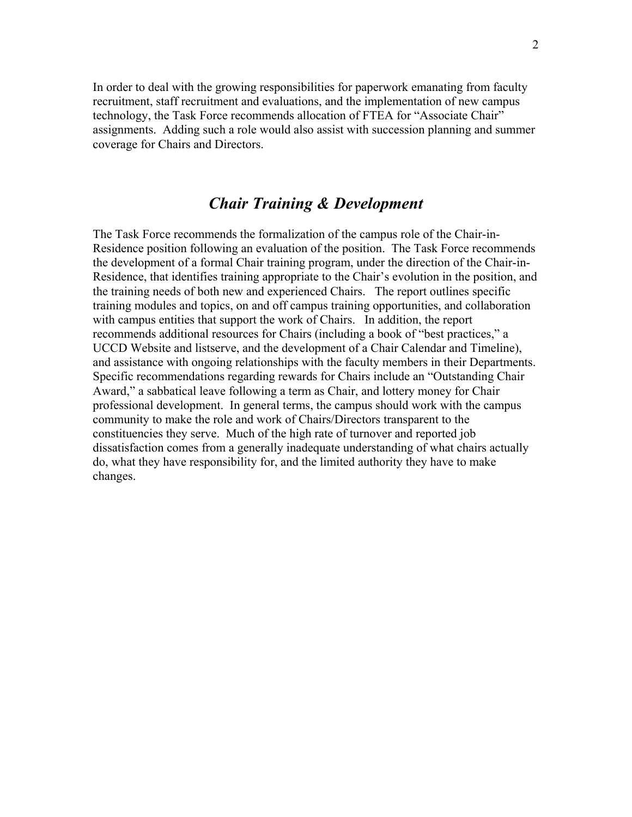In order to deal with the growing responsibilities for paperwork emanating from faculty recruitment, staff recruitment and evaluations, and the implementation of new campus technology, the Task Force recommends allocation of FTEA for "Associate Chair" assignments. Adding such a role would also assist with succession planning and summer coverage for Chairs and Directors.

## *Chair Training & Development*

The Task Force recommends the formalization of the campus role of the Chair-in-Residence position following an evaluation of the position. The Task Force recommends the development of a formal Chair training program, under the direction of the Chair-in-Residence, that identifies training appropriate to the Chair's evolution in the position, and the training needs of both new and experienced Chairs. The report outlines specific training modules and topics, on and off campus training opportunities, and collaboration with campus entities that support the work of Chairs. In addition, the report recommends additional resources for Chairs (including a book of "best practices," a UCCD Website and listserve, and the development of a Chair Calendar and Timeline), and assistance with ongoing relationships with the faculty members in their Departments. Specific recommendations regarding rewards for Chairs include an "Outstanding Chair Award," a sabbatical leave following a term as Chair, and lottery money for Chair professional development. In general terms, the campus should work with the campus community to make the role and work of Chairs/Directors transparent to the constituencies they serve. Much of the high rate of turnover and reported job dissatisfaction comes from a generally inadequate understanding of what chairs actually do, what they have responsibility for, and the limited authority they have to make changes.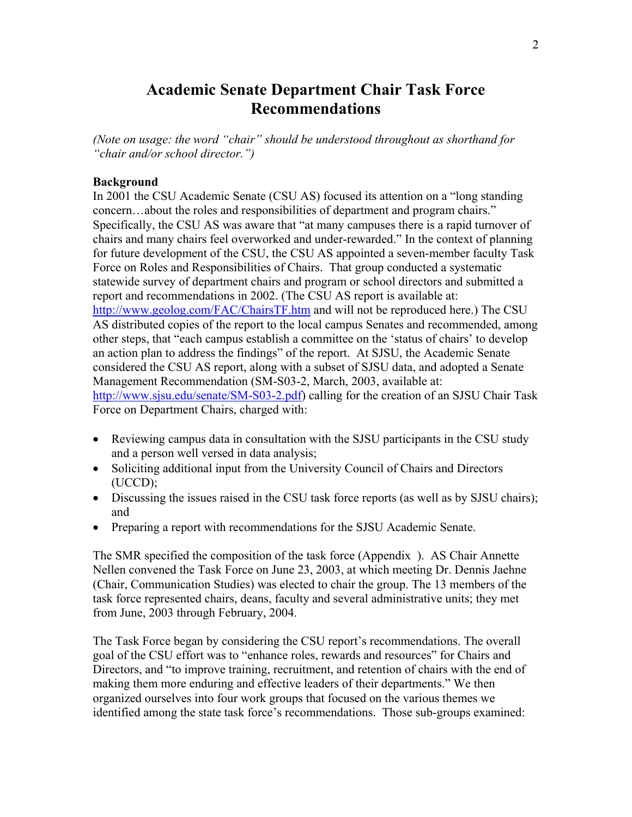## **Academic Senate Department Chair Task Force Recommendations**

*(Note on usage: the word "chair" should be understood throughout as shorthand for "chair and/or school director.")* 

#### **Background**

In 2001 the CSU Academic Senate (CSU AS) focused its attention on a "long standing concern…about the roles and responsibilities of department and program chairs." Specifically, the CSU AS was aware that "at many campuses there is a rapid turnover of chairs and many chairs feel overworked and under-rewarded." In the context of planning for future development of the CSU, the CSU AS appointed a seven-member faculty Task Force on Roles and Responsibilities of Chairs. That group conducted a systematic statewide survey of department chairs and program or school directors and submitted a report and recommendations in 2002. (The CSU AS report is available at: http://www.geolog.com/FAC/ChairsTF.htm and will not be reproduced here.) The CSU AS distributed copies of the report to the local campus Senates and recommended, among other steps, that "each campus establish a committee on the 'status of chairs' to develop an action plan to address the findings" of the report. At SJSU, the Academic Senate considered the CSU AS report, along with a subset of SJSU data, and adopted a Senate Management Recommendation (SM-S03-2, March, 2003, available at: http://www.sjsu.edu/senate/SM-S03-2.pdf) calling for the creation of an SJSU Chair Task Force on Department Chairs, charged with:

- Reviewing campus data in consultation with the SJSU participants in the CSU study and a person well versed in data analysis;
- Soliciting additional input from the University Council of Chairs and Directors (UCCD);
- Discussing the issues raised in the CSU task force reports (as well as by SJSU chairs); and
- Preparing a report with recommendations for the SJSU Academic Senate.

The SMR specified the composition of the task force (Appendix ). AS Chair Annette Nellen convened the Task Force on June 23, 2003, at which meeting Dr. Dennis Jaehne (Chair, Communication Studies) was elected to chair the group. The 13 members of the task force represented chairs, deans, faculty and several administrative units; they met from June, 2003 through February, 2004.

The Task Force began by considering the CSU report's recommendations. The overall goal of the CSU effort was to "enhance roles, rewards and resources" for Chairs and Directors, and "to improve training, recruitment, and retention of chairs with the end of making them more enduring and effective leaders of their departments." We then organized ourselves into four work groups that focused on the various themes we identified among the state task force's recommendations. Those sub-groups examined: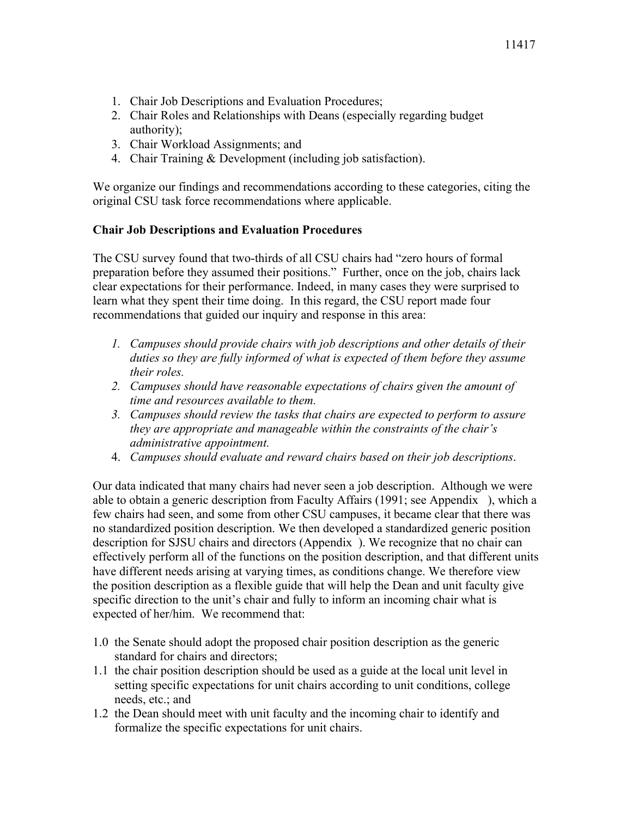- 1. Chair Job Descriptions and Evaluation Procedures;
- 2. Chair Roles and Relationships with Deans (especially regarding budget authority);
- 3. Chair Workload Assignments; and
- 4. Chair Training & Development (including job satisfaction).

We organize our findings and recommendations according to these categories, citing the original CSU task force recommendations where applicable.

## **Chair Job Descriptions and Evaluation Procedures**

The CSU survey found that two-thirds of all CSU chairs had "zero hours of formal preparation before they assumed their positions." Further, once on the job, chairs lack clear expectations for their performance. Indeed, in many cases they were surprised to learn what they spent their time doing. In this regard, the CSU report made four recommendations that guided our inquiry and response in this area:

- *1. Campuses should provide chairs with job descriptions and other details of their duties so they are fully informed of what is expected of them before they assume their roles.*
- 2. Campuses should have reasonable expectations of chairs given the amount of *time and resources available to them.*
- *3. Campuses should review the tasks that chairs are expected to perform to assure they are appropriate and manageable within the constraints of the chair's administrative appointment.*
- 4. *Campuses should evaluate and reward chairs based on their job descriptions*.

Our data indicated that many chairs had never seen a job description. Although we were able to obtain a generic description from Faculty Affairs (1991; see Appendix ), which a few chairs had seen, and some from other CSU campuses, it became clear that there was no standardized position description. We then developed a standardized generic position description for SJSU chairs and directors (Appendix ). We recognize that no chair can effectively perform all of the functions on the position description, and that different units have different needs arising at varying times, as conditions change. We therefore view the position description as a flexible guide that will help the Dean and unit faculty give specific direction to the unit's chair and fully to inform an incoming chair what is expected of her/him. We recommend that:

- 1.0 the Senate should adopt the proposed chair position description as the generic standard for chairs and directors;
- 1.1 the chair position description should be used as a guide at the local unit level in setting specific expectations for unit chairs according to unit conditions, college needs, etc.; and
- 1.2 the Dean should meet with unit faculty and the incoming chair to identify and formalize the specific expectations for unit chairs.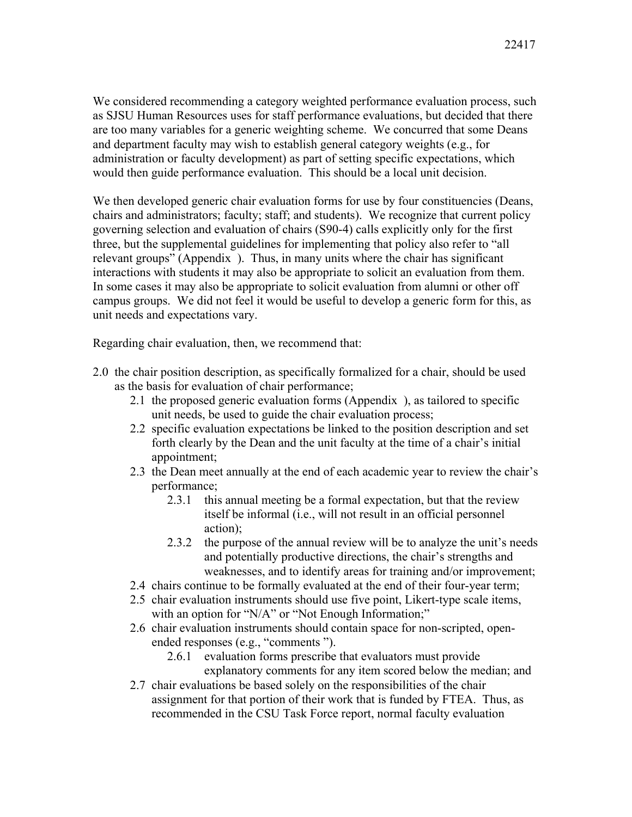We considered recommending a category weighted performance evaluation process, such as SJSU Human Resources uses for staff performance evaluations, but decided that there are too many variables for a generic weighting scheme. We concurred that some Deans and department faculty may wish to establish general category weights (e.g., for administration or faculty development) as part of setting specific expectations, which would then guide performance evaluation. This should be a local unit decision.

We then developed generic chair evaluation forms for use by four constituencies (Deans, chairs and administrators; faculty; staff; and students). We recognize that current policy governing selection and evaluation of chairs (S90-4) calls explicitly only for the first three, but the supplemental guidelines for implementing that policy also refer to "all relevant groups" (Appendix ). Thus, in many units where the chair has significant interactions with students it may also be appropriate to solicit an evaluation from them. In some cases it may also be appropriate to solicit evaluation from alumni or other off campus groups. We did not feel it would be useful to develop a generic form for this, as unit needs and expectations vary.

Regarding chair evaluation, then, we recommend that:

- 2.0 the chair position description, as specifically formalized for a chair, should be used as the basis for evaluation of chair performance;
	- 2.1 the proposed generic evaluation forms (Appendix ), as tailored to specific unit needs, be used to guide the chair evaluation process;
	- 2.2 specific evaluation expectations be linked to the position description and set forth clearly by the Dean and the unit faculty at the time of a chair's initial appointment;
	- 2.3 the Dean meet annually at the end of each academic year to review the chair's performance;
		- 2.3.1 this annual meeting be a formal expectation, but that the review itself be informal (i.e., will not result in an official personnel action);
		- 2.3.2 the purpose of the annual review will be to analyze the unit's needs and potentially productive directions, the chair's strengths and weaknesses, and to identify areas for training and/or improvement;
	- 2.4 chairs continue to be formally evaluated at the end of their four-year term;
	- 2.5 chair evaluation instruments should use five point, Likert-type scale items, with an option for "N/A" or "Not Enough Information;"
	- 2.6 chair evaluation instruments should contain space for non-scripted, openended responses (e.g., "comments ").
		- 2.6.1 evaluation forms prescribe that evaluators must provide explanatory comments for any item scored below the median; and
	- 2.7 chair evaluations be based solely on the responsibilities of the chair assignment for that portion of their work that is funded by FTEA. Thus, as recommended in the CSU Task Force report, normal faculty evaluation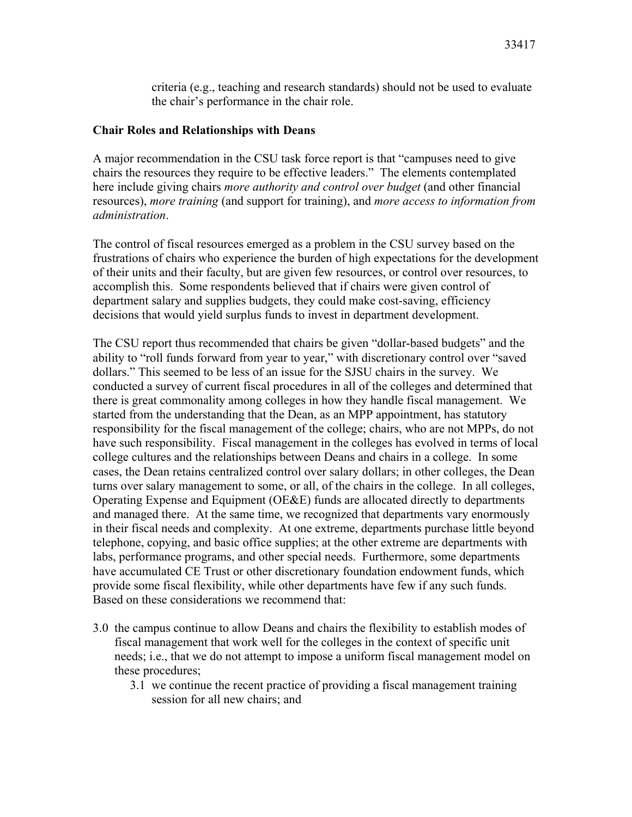criteria (e.g., teaching and research standards) should not be used to evaluate the chair's performance in the chair role.

## **Chair Roles and Relationships with Deans**

A major recommendation in the CSU task force report is that "campuses need to give chairs the resources they require to be effective leaders." The elements contemplated here include giving chairs *more authority and control over budget* (and other financial resources), *more training* (and support for training), and *more access to information from administration*.

The control of fiscal resources emerged as a problem in the CSU survey based on the frustrations of chairs who experience the burden of high expectations for the development of their units and their faculty, but are given few resources, or control over resources, to accomplish this. Some respondents believed that if chairs were given control of department salary and supplies budgets, they could make cost-saving, efficiency decisions that would yield surplus funds to invest in department development.

The CSU report thus recommended that chairs be given "dollar-based budgets" and the ability to "roll funds forward from year to year," with discretionary control over "saved dollars." This seemed to be less of an issue for the SJSU chairs in the survey. We conducted a survey of current fiscal procedures in all of the colleges and determined that there is great commonality among colleges in how they handle fiscal management. We started from the understanding that the Dean, as an MPP appointment, has statutory responsibility for the fiscal management of the college; chairs, who are not MPPs, do not have such responsibility. Fiscal management in the colleges has evolved in terms of local college cultures and the relationships between Deans and chairs in a college. In some cases, the Dean retains centralized control over salary dollars; in other colleges, the Dean turns over salary management to some, or all, of the chairs in the college. In all colleges, Operating Expense and Equipment (OE&E) funds are allocated directly to departments and managed there. At the same time, we recognized that departments vary enormously in their fiscal needs and complexity. At one extreme, departments purchase little beyond telephone, copying, and basic office supplies; at the other extreme are departments with labs, performance programs, and other special needs. Furthermore, some departments have accumulated CE Trust or other discretionary foundation endowment funds, which provide some fiscal flexibility, while other departments have few if any such funds. Based on these considerations we recommend that:

- 3.0 the campus continue to allow Deans and chairs the flexibility to establish modes of fiscal management that work well for the colleges in the context of specific unit needs; i.e., that we do not attempt to impose a uniform fiscal management model on these procedures;
	- 3.1 we continue the recent practice of providing a fiscal management training session for all new chairs; and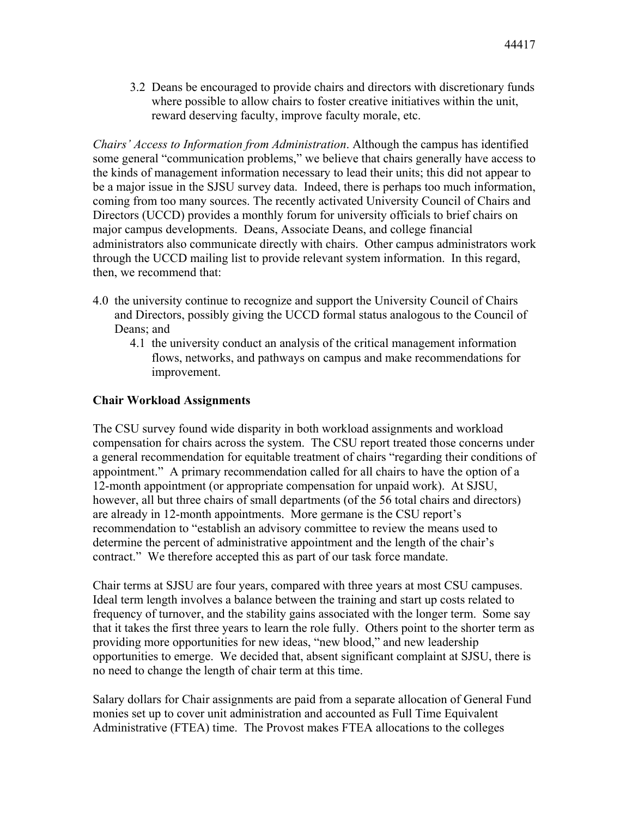3.2 Deans be encouraged to provide chairs and directors with discretionary funds where possible to allow chairs to foster creative initiatives within the unit, reward deserving faculty, improve faculty morale, etc.

*Chairs' Access to Information from Administration*. Although the campus has identified some general "communication problems," we believe that chairs generally have access to the kinds of management information necessary to lead their units; this did not appear to be a major issue in the SJSU survey data. Indeed, there is perhaps too much information, coming from too many sources. The recently activated University Council of Chairs and Directors (UCCD) provides a monthly forum for university officials to brief chairs on major campus developments. Deans, Associate Deans, and college financial administrators also communicate directly with chairs. Other campus administrators work through the UCCD mailing list to provide relevant system information. In this regard, then, we recommend that:

- 4.0 the university continue to recognize and support the University Council of Chairs and Directors, possibly giving the UCCD formal status analogous to the Council of Deans; and
	- 4.1 the university conduct an analysis of the critical management information flows, networks, and pathways on campus and make recommendations for improvement.

## **Chair Workload Assignments**

The CSU survey found wide disparity in both workload assignments and workload compensation for chairs across the system. The CSU report treated those concerns under a general recommendation for equitable treatment of chairs "regarding their conditions of appointment." A primary recommendation called for all chairs to have the option of a 12-month appointment (or appropriate compensation for unpaid work). At SJSU, however, all but three chairs of small departments (of the 56 total chairs and directors) are already in 12-month appointments. More germane is the CSU report's recommendation to "establish an advisory committee to review the means used to determine the percent of administrative appointment and the length of the chair's contract." We therefore accepted this as part of our task force mandate.

Chair terms at SJSU are four years, compared with three years at most CSU campuses. Ideal term length involves a balance between the training and start up costs related to frequency of turnover, and the stability gains associated with the longer term. Some say that it takes the first three years to learn the role fully. Others point to the shorter term as providing more opportunities for new ideas, "new blood," and new leadership opportunities to emerge. We decided that, absent significant complaint at SJSU, there is no need to change the length of chair term at this time.

Salary dollars for Chair assignments are paid from a separate allocation of General Fund monies set up to cover unit administration and accounted as Full Time Equivalent Administrative (FTEA) time. The Provost makes FTEA allocations to the colleges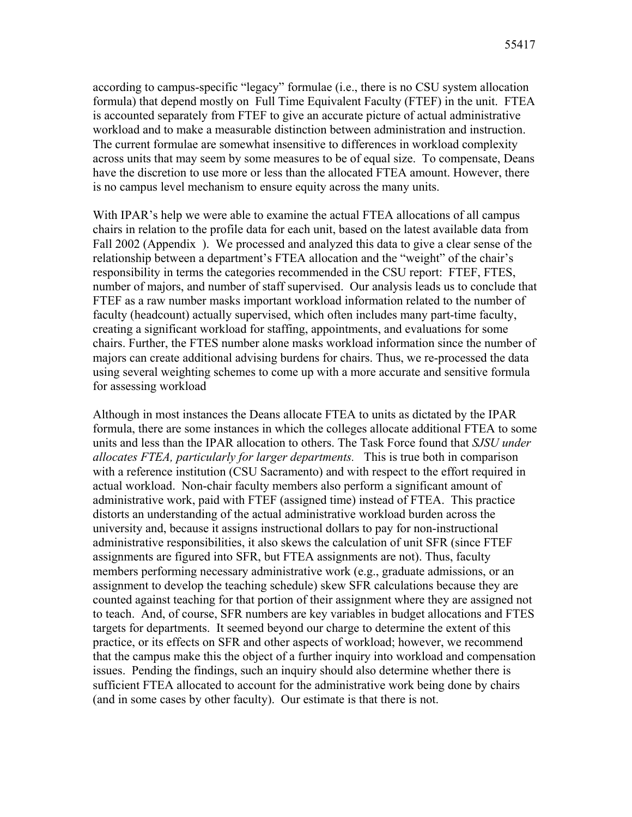according to campus-specific "legacy" formulae (i.e., there is no CSU system allocation formula) that depend mostly on Full Time Equivalent Faculty (FTEF) in the unit. FTEA is accounted separately from FTEF to give an accurate picture of actual administrative workload and to make a measurable distinction between administration and instruction. The current formulae are somewhat insensitive to differences in workload complexity across units that may seem by some measures to be of equal size. To compensate, Deans have the discretion to use more or less than the allocated FTEA amount. However, there is no campus level mechanism to ensure equity across the many units.

With IPAR's help we were able to examine the actual FTEA allocations of all campus chairs in relation to the profile data for each unit, based on the latest available data from Fall 2002 (Appendix ). We processed and analyzed this data to give a clear sense of the relationship between a department's FTEA allocation and the "weight" of the chair's responsibility in terms the categories recommended in the CSU report: FTEF, FTES, number of majors, and number of staff supervised. Our analysis leads us to conclude that FTEF as a raw number masks important workload information related to the number of faculty (headcount) actually supervised, which often includes many part-time faculty, creating a significant workload for staffing, appointments, and evaluations for some chairs. Further, the FTES number alone masks workload information since the number of majors can create additional advising burdens for chairs. Thus, we re-processed the data using several weighting schemes to come up with a more accurate and sensitive formula for assessing workload

Although in most instances the Deans allocate FTEA to units as dictated by the IPAR formula, there are some instances in which the colleges allocate additional FTEA to some units and less than the IPAR allocation to others. The Task Force found that *SJSU under allocates FTEA, particularly for larger departments.* This is true both in comparison with a reference institution (CSU Sacramento) and with respect to the effort required in actual workload. Non-chair faculty members also perform a significant amount of administrative work, paid with FTEF (assigned time) instead of FTEA. This practice distorts an understanding of the actual administrative workload burden across the university and, because it assigns instructional dollars to pay for non-instructional administrative responsibilities, it also skews the calculation of unit SFR (since FTEF assignments are figured into SFR, but FTEA assignments are not). Thus, faculty members performing necessary administrative work (e.g., graduate admissions, or an assignment to develop the teaching schedule) skew SFR calculations because they are counted against teaching for that portion of their assignment where they are assigned not to teach. And, of course, SFR numbers are key variables in budget allocations and FTES targets for departments. It seemed beyond our charge to determine the extent of this practice, or its effects on SFR and other aspects of workload; however, we recommend that the campus make this the object of a further inquiry into workload and compensation issues. Pending the findings, such an inquiry should also determine whether there is sufficient FTEA allocated to account for the administrative work being done by chairs (and in some cases by other faculty). Our estimate is that there is not.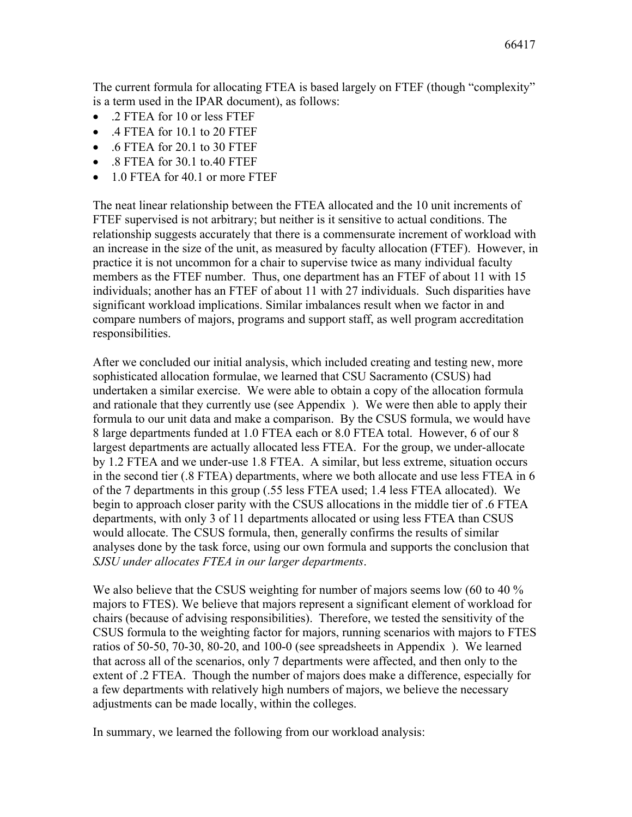The current formula for allocating FTEA is based largely on FTEF (though "complexity" is a term used in the IPAR document), as follows:

- .2 FTEA for 10 or less FTEF
- .4 FTEA for 10.1 to 20 FTEF
- .6 FTEA for 20.1 to 30 FTEF
- .8 FTEA for 30.1 to.40 FTEF
- 1.0 FTEA for 40.1 or more FTEF

The neat linear relationship between the FTEA allocated and the 10 unit increments of FTEF supervised is not arbitrary; but neither is it sensitive to actual conditions. The relationship suggests accurately that there is a commensurate increment of workload with an increase in the size of the unit, as measured by faculty allocation (FTEF). However, in practice it is not uncommon for a chair to supervise twice as many individual faculty members as the FTEF number. Thus, one department has an FTEF of about 11 with 15 individuals; another has an FTEF of about 11 with 27 individuals. Such disparities have significant workload implications. Similar imbalances result when we factor in and compare numbers of majors, programs and support staff, as well program accreditation responsibilities.

After we concluded our initial analysis, which included creating and testing new, more sophisticated allocation formulae, we learned that CSU Sacramento (CSUS) had undertaken a similar exercise. We were able to obtain a copy of the allocation formula and rationale that they currently use (see Appendix ). We were then able to apply their formula to our unit data and make a comparison. By the CSUS formula, we would have 8 large departments funded at 1.0 FTEA each or 8.0 FTEA total. However, 6 of our 8 largest departments are actually allocated less FTEA. For the group, we under-allocate by 1.2 FTEA and we under-use 1.8 FTEA. A similar, but less extreme, situation occurs in the second tier (.8 FTEA) departments, where we both allocate and use less FTEA in 6 of the 7 departments in this group (.55 less FTEA used; 1.4 less FTEA allocated). We begin to approach closer parity with the CSUS allocations in the middle tier of .6 FTEA departments, with only 3 of 11 departments allocated or using less FTEA than CSUS would allocate. The CSUS formula, then, generally confirms the results of similar analyses done by the task force, using our own formula and supports the conclusion that *SJSU under allocates FTEA in our larger departments*.

We also believe that the CSUS weighting for number of majors seems low (60 to 40 %) majors to FTES). We believe that majors represent a significant element of workload for chairs (because of advising responsibilities). Therefore, we tested the sensitivity of the CSUS formula to the weighting factor for majors, running scenarios with majors to FTES ratios of 50-50, 70-30, 80-20, and 100-0 (see spreadsheets in Appendix ). We learned that across all of the scenarios, only 7 departments were affected, and then only to the extent of .2 FTEA. Though the number of majors does make a difference, especially for a few departments with relatively high numbers of majors, we believe the necessary adjustments can be made locally, within the colleges.

In summary, we learned the following from our workload analysis: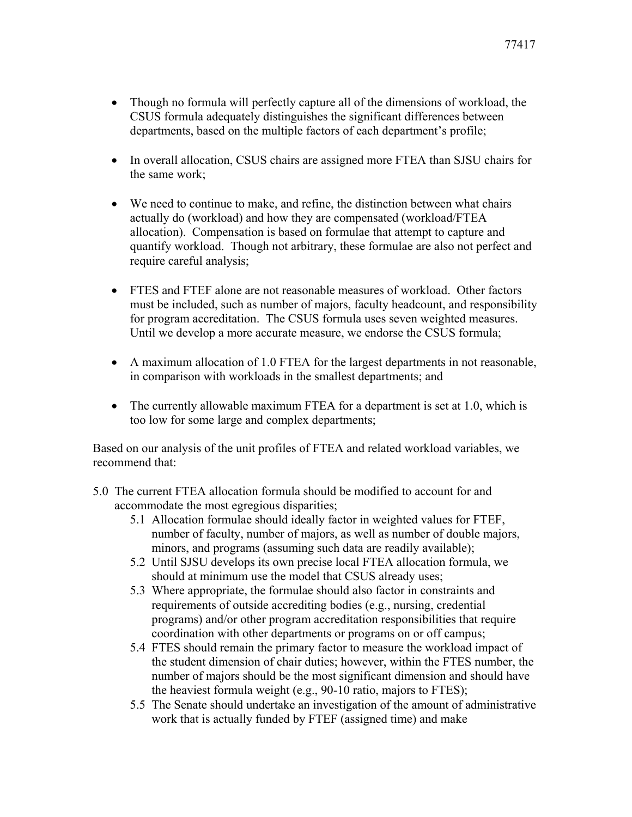- Though no formula will perfectly capture all of the dimensions of workload, the CSUS formula adequately distinguishes the significant differences between departments, based on the multiple factors of each department's profile;
- In overall allocation, CSUS chairs are assigned more FTEA than SJSU chairs for the same work;
- We need to continue to make, and refine, the distinction between what chairs actually do (workload) and how they are compensated (workload/FTEA allocation). Compensation is based on formulae that attempt to capture and quantify workload. Though not arbitrary, these formulae are also not perfect and require careful analysis;
- FTES and FTEF alone are not reasonable measures of workload. Other factors must be included, such as number of majors, faculty headcount, and responsibility for program accreditation. The CSUS formula uses seven weighted measures. Until we develop a more accurate measure, we endorse the CSUS formula;
- A maximum allocation of 1.0 FTEA for the largest departments in not reasonable, in comparison with workloads in the smallest departments; and
- The currently allowable maximum FTEA for a department is set at 1.0, which is too low for some large and complex departments;

Based on our analysis of the unit profiles of FTEA and related workload variables, we recommend that:

- 5.0 The current FTEA allocation formula should be modified to account for and accommodate the most egregious disparities;
	- 5.1 Allocation formulae should ideally factor in weighted values for FTEF, number of faculty, number of majors, as well as number of double majors, minors, and programs (assuming such data are readily available);
	- 5.2 Until SJSU develops its own precise local FTEA allocation formula, we should at minimum use the model that CSUS already uses;
	- 5.3 Where appropriate, the formulae should also factor in constraints and requirements of outside accrediting bodies (e.g., nursing, credential programs) and/or other program accreditation responsibilities that require coordination with other departments or programs on or off campus;
	- 5.4 FTES should remain the primary factor to measure the workload impact of the student dimension of chair duties; however, within the FTES number, the number of majors should be the most significant dimension and should have the heaviest formula weight (e.g., 90-10 ratio, majors to FTES);
	- 5.5 The Senate should undertake an investigation of the amount of administrative work that is actually funded by FTEF (assigned time) and make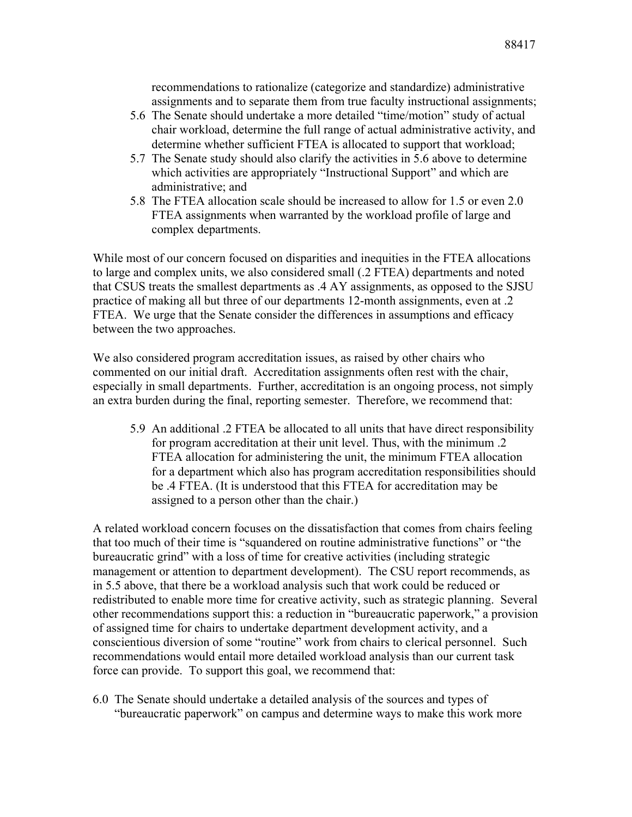recommendations to rationalize (categorize and standardize) administrative assignments and to separate them from true faculty instructional assignments;

- 5.6 The Senate should undertake a more detailed "time/motion" study of actual chair workload, determine the full range of actual administrative activity, and determine whether sufficient FTEA is allocated to support that workload;
- 5.7 The Senate study should also clarify the activities in 5.6 above to determine which activities are appropriately "Instructional Support" and which are administrative; and
- 5.8 The FTEA allocation scale should be increased to allow for 1.5 or even 2.0 FTEA assignments when warranted by the workload profile of large and complex departments.

While most of our concern focused on disparities and inequities in the FTEA allocations to large and complex units, we also considered small (.2 FTEA) departments and noted that CSUS treats the smallest departments as .4 AY assignments, as opposed to the SJSU practice of making all but three of our departments 12-month assignments, even at .2 FTEA. We urge that the Senate consider the differences in assumptions and efficacy between the two approaches.

We also considered program accreditation issues, as raised by other chairs who commented on our initial draft. Accreditation assignments often rest with the chair, especially in small departments. Further, accreditation is an ongoing process, not simply an extra burden during the final, reporting semester. Therefore, we recommend that:

5.9 An additional .2 FTEA be allocated to all units that have direct responsibility for program accreditation at their unit level. Thus, with the minimum .2 FTEA allocation for administering the unit, the minimum FTEA allocation for a department which also has program accreditation responsibilities should be .4 FTEA. (It is understood that this FTEA for accreditation may be assigned to a person other than the chair.)

A related workload concern focuses on the dissatisfaction that comes from chairs feeling that too much of their time is "squandered on routine administrative functions" or "the bureaucratic grind" with a loss of time for creative activities (including strategic management or attention to department development). The CSU report recommends, as in 5.5 above, that there be a workload analysis such that work could be reduced or redistributed to enable more time for creative activity, such as strategic planning. Several other recommendations support this: a reduction in "bureaucratic paperwork," a provision of assigned time for chairs to undertake department development activity, and a conscientious diversion of some "routine" work from chairs to clerical personnel. Such recommendations would entail more detailed workload analysis than our current task force can provide. To support this goal, we recommend that:

6.0 The Senate should undertake a detailed analysis of the sources and types of "bureaucratic paperwork" on campus and determine ways to make this work more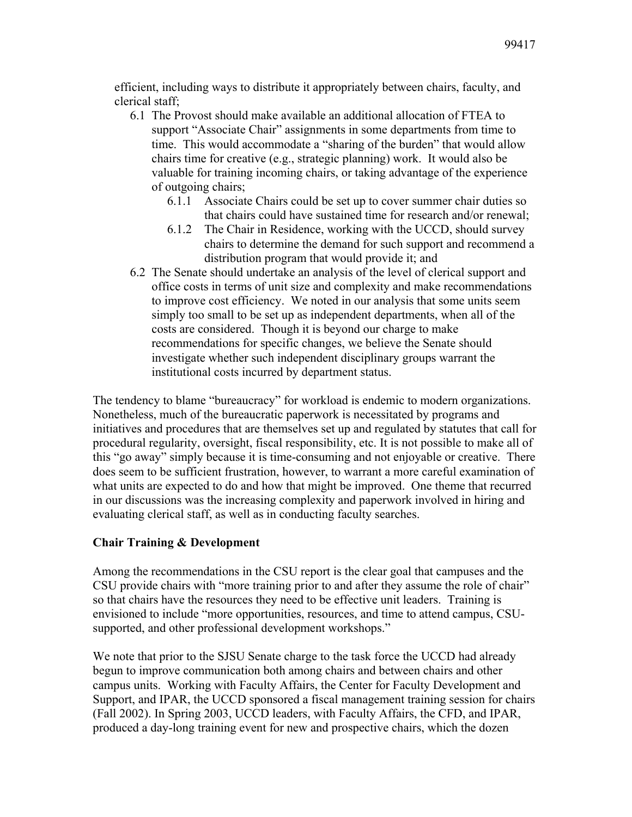efficient, including ways to distribute it appropriately between chairs, faculty, and clerical staff;

- 6.1 The Provost should make available an additional allocation of FTEA to support "Associate Chair" assignments in some departments from time to time. This would accommodate a "sharing of the burden" that would allow chairs time for creative (e.g., strategic planning) work. It would also be valuable for training incoming chairs, or taking advantage of the experience of outgoing chairs;
	- 6.1.1 Associate Chairs could be set up to cover summer chair duties so that chairs could have sustained time for research and/or renewal;
	- 6.1.2 The Chair in Residence, working with the UCCD, should survey chairs to determine the demand for such support and recommend a distribution program that would provide it; and
- 6.2 The Senate should undertake an analysis of the level of clerical support and office costs in terms of unit size and complexity and make recommendations to improve cost efficiency. We noted in our analysis that some units seem simply too small to be set up as independent departments, when all of the costs are considered. Though it is beyond our charge to make recommendations for specific changes, we believe the Senate should investigate whether such independent disciplinary groups warrant the institutional costs incurred by department status.

The tendency to blame "bureaucracy" for workload is endemic to modern organizations. Nonetheless, much of the bureaucratic paperwork is necessitated by programs and initiatives and procedures that are themselves set up and regulated by statutes that call for procedural regularity, oversight, fiscal responsibility, etc. It is not possible to make all of this "go away" simply because it is time-consuming and not enjoyable or creative. There does seem to be sufficient frustration, however, to warrant a more careful examination of what units are expected to do and how that might be improved. One theme that recurred in our discussions was the increasing complexity and paperwork involved in hiring and evaluating clerical staff, as well as in conducting faculty searches.

## **Chair Training & Development**

Among the recommendations in the CSU report is the clear goal that campuses and the CSU provide chairs with "more training prior to and after they assume the role of chair" so that chairs have the resources they need to be effective unit leaders. Training is envisioned to include "more opportunities, resources, and time to attend campus, CSUsupported, and other professional development workshops."

We note that prior to the SJSU Senate charge to the task force the UCCD had already begun to improve communication both among chairs and between chairs and other campus units. Working with Faculty Affairs, the Center for Faculty Development and Support, and IPAR, the UCCD sponsored a fiscal management training session for chairs (Fall 2002). In Spring 2003, UCCD leaders, with Faculty Affairs, the CFD, and IPAR, produced a day-long training event for new and prospective chairs, which the dozen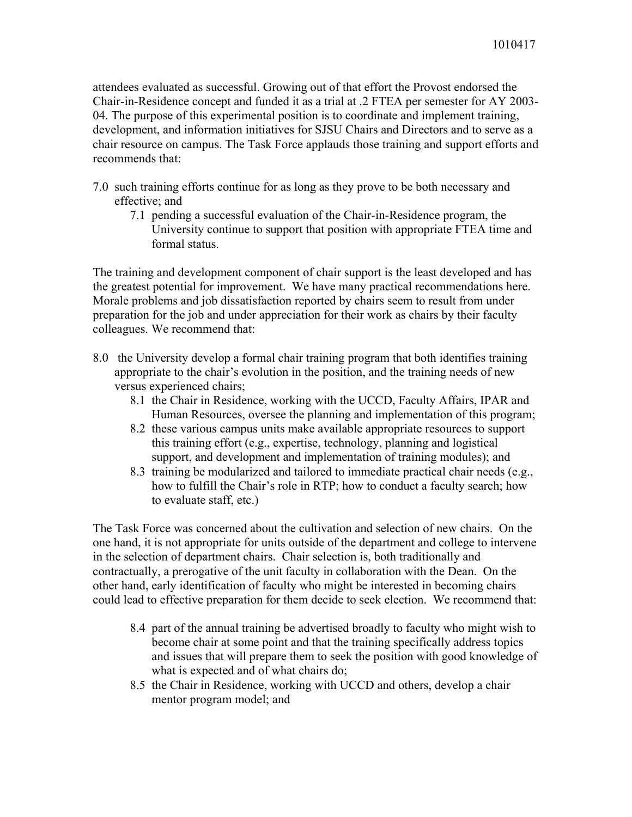attendees evaluated as successful. Growing out of that effort the Provost endorsed the Chair-in-Residence concept and funded it as a trial at .2 FTEA per semester for AY 2003- 04. The purpose of this experimental position is to coordinate and implement training, development, and information initiatives for SJSU Chairs and Directors and to serve as a chair resource on campus. The Task Force applauds those training and support efforts and recommends that:

- 7.0 such training efforts continue for as long as they prove to be both necessary and effective; and
	- 7.1 pending a successful evaluation of the Chair-in-Residence program, the University continue to support that position with appropriate FTEA time and formal status.

The training and development component of chair support is the least developed and has the greatest potential for improvement. We have many practical recommendations here. Morale problems and job dissatisfaction reported by chairs seem to result from under preparation for the job and under appreciation for their work as chairs by their faculty colleagues. We recommend that:

- 8.0 the University develop a formal chair training program that both identifies training appropriate to the chair's evolution in the position, and the training needs of new versus experienced chairs;
	- 8.1 the Chair in Residence, working with the UCCD, Faculty Affairs, IPAR and Human Resources, oversee the planning and implementation of this program;
	- 8.2 these various campus units make available appropriate resources to support this training effort (e.g., expertise, technology, planning and logistical support, and development and implementation of training modules); and
	- 8.3 training be modularized and tailored to immediate practical chair needs (e.g., how to fulfill the Chair's role in RTP; how to conduct a faculty search; how to evaluate staff, etc.)

The Task Force was concerned about the cultivation and selection of new chairs. On the one hand, it is not appropriate for units outside of the department and college to intervene in the selection of department chairs. Chair selection is, both traditionally and contractually, a prerogative of the unit faculty in collaboration with the Dean. On the other hand, early identification of faculty who might be interested in becoming chairs could lead to effective preparation for them decide to seek election. We recommend that:

- 8.4 part of the annual training be advertised broadly to faculty who might wish to become chair at some point and that the training specifically address topics and issues that will prepare them to seek the position with good knowledge of what is expected and of what chairs do;
- 8.5 the Chair in Residence, working with UCCD and others, develop a chair mentor program model; and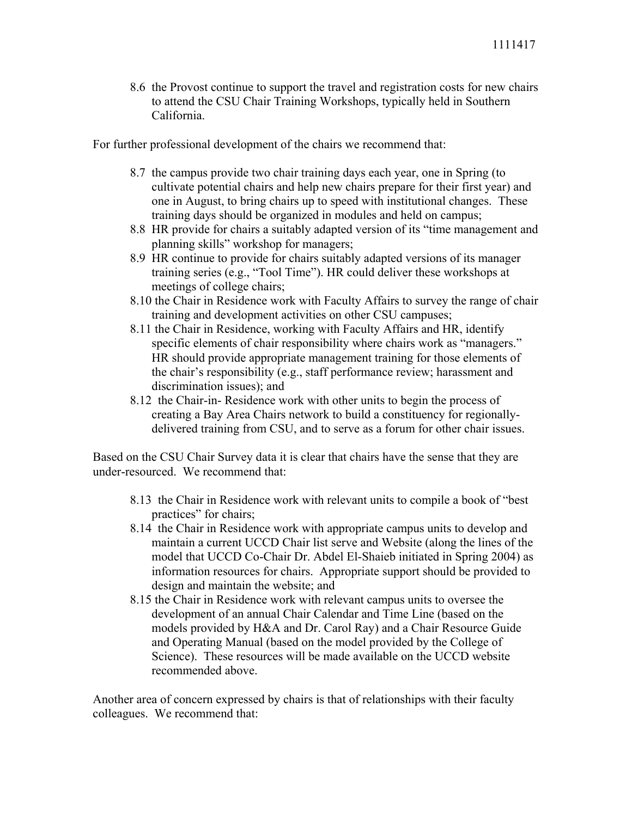8.6 the Provost continue to support the travel and registration costs for new chairs to attend the CSU Chair Training Workshops, typically held in Southern California.

For further professional development of the chairs we recommend that:

- 8.7 the campus provide two chair training days each year, one in Spring (to cultivate potential chairs and help new chairs prepare for their first year) and one in August, to bring chairs up to speed with institutional changes. These training days should be organized in modules and held on campus;
- 8.8 HR provide for chairs a suitably adapted version of its "time management and planning skills" workshop for managers;
- 8.9 HR continue to provide for chairs suitably adapted versions of its manager training series (e.g., "Tool Time"). HR could deliver these workshops at meetings of college chairs;
- 8.10 the Chair in Residence work with Faculty Affairs to survey the range of chair training and development activities on other CSU campuses;
- 8.11 the Chair in Residence, working with Faculty Affairs and HR, identify specific elements of chair responsibility where chairs work as "managers." HR should provide appropriate management training for those elements of the chair's responsibility (e.g., staff performance review; harassment and discrimination issues); and
- 8.12 the Chair-in- Residence work with other units to begin the process of creating a Bay Area Chairs network to build a constituency for regionallydelivered training from CSU, and to serve as a forum for other chair issues.

Based on the CSU Chair Survey data it is clear that chairs have the sense that they are under-resourced. We recommend that:

- 8.13 the Chair in Residence work with relevant units to compile a book of "best practices" for chairs;
- 8.14 the Chair in Residence work with appropriate campus units to develop and maintain a current UCCD Chair list serve and Website (along the lines of the model that UCCD Co-Chair Dr. Abdel El-Shaieb initiated in Spring 2004) as information resources for chairs. Appropriate support should be provided to design and maintain the website; and
- 8.15 the Chair in Residence work with relevant campus units to oversee the development of an annual Chair Calendar and Time Line (based on the models provided by H&A and Dr. Carol Ray) and a Chair Resource Guide and Operating Manual (based on the model provided by the College of Science). These resources will be made available on the UCCD website recommended above.

Another area of concern expressed by chairs is that of relationships with their faculty colleagues. We recommend that: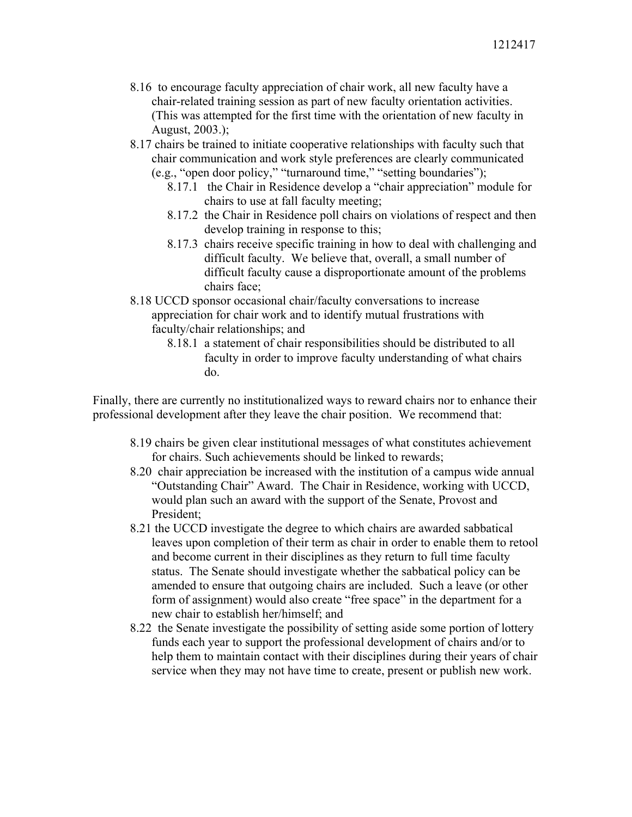- 8.16 to encourage faculty appreciation of chair work, all new faculty have a chair-related training session as part of new faculty orientation activities. (This was attempted for the first time with the orientation of new faculty in August, 2003.);
- 8.17 chairs be trained to initiate cooperative relationships with faculty such that chair communication and work style preferences are clearly communicated (e.g., "open door policy," "turnaround time," "setting boundaries");
	- 8.17.1 the Chair in Residence develop a "chair appreciation" module for chairs to use at fall faculty meeting;
	- 8.17.2 the Chair in Residence poll chairs on violations of respect and then develop training in response to this;
	- 8.17.3 chairs receive specific training in how to deal with challenging and difficult faculty. We believe that, overall, a small number of difficult faculty cause a disproportionate amount of the problems chairs face;
- 8.18 UCCD sponsor occasional chair/faculty conversations to increase appreciation for chair work and to identify mutual frustrations with faculty/chair relationships; and
	- 8.18.1 a statement of chair responsibilities should be distributed to all faculty in order to improve faculty understanding of what chairs do.

Finally, there are currently no institutionalized ways to reward chairs nor to enhance their professional development after they leave the chair position. We recommend that:

- 8.19 chairs be given clear institutional messages of what constitutes achievement for chairs. Such achievements should be linked to rewards;
- 8.20 chair appreciation be increased with the institution of a campus wide annual "Outstanding Chair" Award. The Chair in Residence, working with UCCD, would plan such an award with the support of the Senate, Provost and President;
- 8.21 the UCCD investigate the degree to which chairs are awarded sabbatical leaves upon completion of their term as chair in order to enable them to retool and become current in their disciplines as they return to full time faculty status. The Senate should investigate whether the sabbatical policy can be amended to ensure that outgoing chairs are included. Such a leave (or other form of assignment) would also create "free space" in the department for a new chair to establish her/himself; and
- 8.22 the Senate investigate the possibility of setting aside some portion of lottery funds each year to support the professional development of chairs and/or to help them to maintain contact with their disciplines during their years of chair service when they may not have time to create, present or publish new work.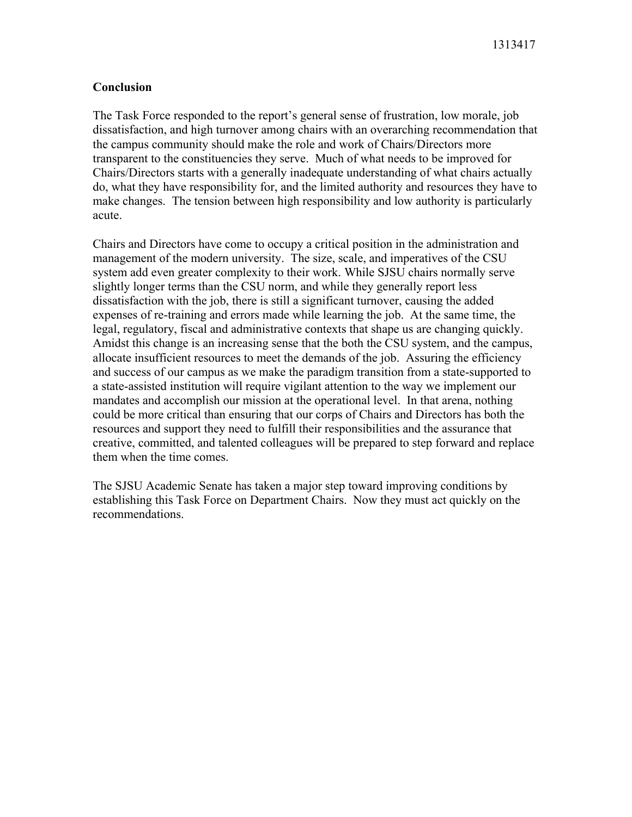## **Conclusion**

The Task Force responded to the report's general sense of frustration, low morale, job dissatisfaction, and high turnover among chairs with an overarching recommendation that the campus community should make the role and work of Chairs/Directors more transparent to the constituencies they serve. Much of what needs to be improved for Chairs/Directors starts with a generally inadequate understanding of what chairs actually do, what they have responsibility for, and the limited authority and resources they have to make changes. The tension between high responsibility and low authority is particularly acute.

Chairs and Directors have come to occupy a critical position in the administration and management of the modern university. The size, scale, and imperatives of the CSU system add even greater complexity to their work. While SJSU chairs normally serve slightly longer terms than the CSU norm, and while they generally report less dissatisfaction with the job, there is still a significant turnover, causing the added expenses of re-training and errors made while learning the job. At the same time, the legal, regulatory, fiscal and administrative contexts that shape us are changing quickly. Amidst this change is an increasing sense that the both the CSU system, and the campus, allocate insufficient resources to meet the demands of the job. Assuring the efficiency and success of our campus as we make the paradigm transition from a state-supported to a state-assisted institution will require vigilant attention to the way we implement our mandates and accomplish our mission at the operational level. In that arena, nothing could be more critical than ensuring that our corps of Chairs and Directors has both the resources and support they need to fulfill their responsibilities and the assurance that creative, committed, and talented colleagues will be prepared to step forward and replace them when the time comes.

The SJSU Academic Senate has taken a major step toward improving conditions by establishing this Task Force on Department Chairs. Now they must act quickly on the recommendations.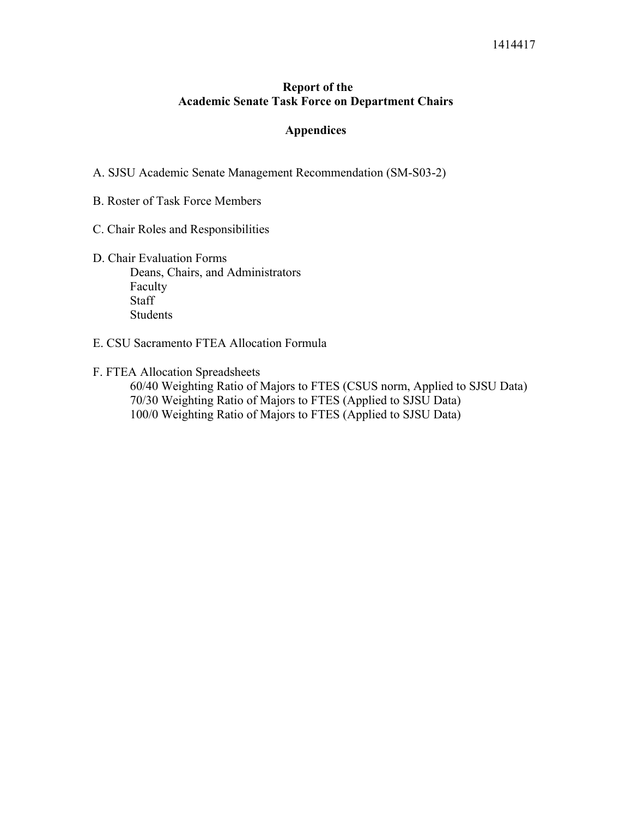## **Report of the Academic Senate Task Force on Department Chairs**

## **Appendices**

A. SJSU Academic Senate Management Recommendation (SM-S03-2)

B. Roster of Task Force Members

- C. Chair Roles and Responsibilities
- D. Chair Evaluation Forms Deans, Chairs, and Administrators Faculty Staff Students
- E. CSU Sacramento FTEA Allocation Formula

F. FTEA Allocation Spreadsheets

 60/40 Weighting Ratio of Majors to FTES (CSUS norm, Applied to SJSU Data) 70/30 Weighting Ratio of Majors to FTES (Applied to SJSU Data) 100/0 Weighting Ratio of Majors to FTES (Applied to SJSU Data)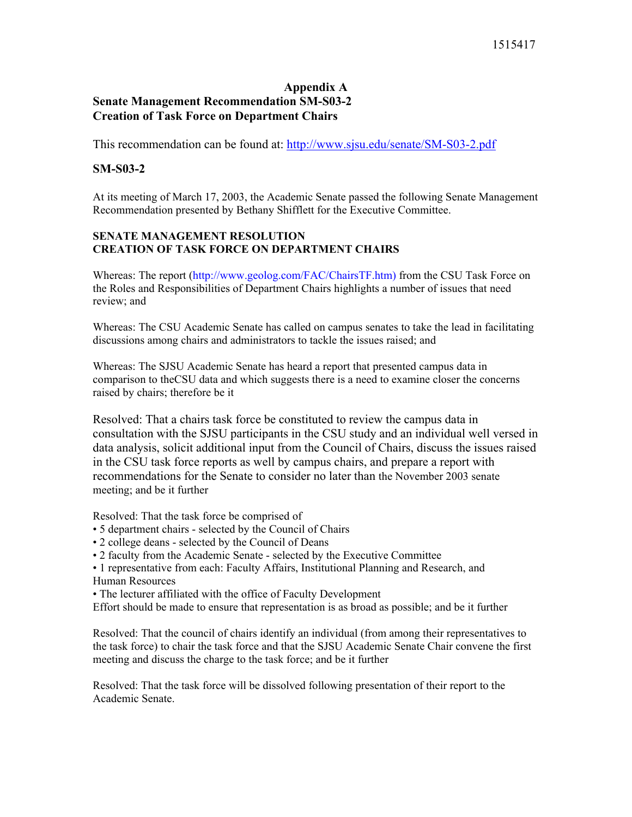## **Appendix A Senate Management Recommendation SM-S03-2 Creation of Task Force on Department Chairs**

This recommendation can be found at: http://www.sjsu.edu/senate/SM-S03-2.pdf

### **SM-S03-2**

At its meeting of March 17, 2003, the Academic Senate passed the following Senate Management Recommendation presented by Bethany Shifflett for the Executive Committee.

#### **SENATE MANAGEMENT RESOLUTION CREATION OF TASK FORCE ON DEPARTMENT CHAIRS**

Whereas: The report (http://www.geolog.com/FAC/ChairsTF.htm) from the CSU Task Force on the Roles and Responsibilities of Department Chairs highlights a number of issues that need review; and

Whereas: The CSU Academic Senate has called on campus senates to take the lead in facilitating discussions among chairs and administrators to tackle the issues raised; and

Whereas: The SJSU Academic Senate has heard a report that presented campus data in comparison to theCSU data and which suggests there is a need to examine closer the concerns raised by chairs; therefore be it

Resolved: That a chairs task force be constituted to review the campus data in consultation with the SJSU participants in the CSU study and an individual well versed in data analysis, solicit additional input from the Council of Chairs, discuss the issues raised in the CSU task force reports as well by campus chairs, and prepare a report with recommendations for the Senate to consider no later than the November 2003 senate meeting; and be it further

Resolved: That the task force be comprised of

- 5 department chairs selected by the Council of Chairs
- 2 college deans selected by the Council of Deans
- 2 faculty from the Academic Senate selected by the Executive Committee
- 1 representative from each: Faculty Affairs, Institutional Planning and Research, and Human Resources
- The lecturer affiliated with the office of Faculty Development
- Effort should be made to ensure that representation is as broad as possible; and be it further

Resolved: That the council of chairs identify an individual (from among their representatives to the task force) to chair the task force and that the SJSU Academic Senate Chair convene the first meeting and discuss the charge to the task force; and be it further

Resolved: That the task force will be dissolved following presentation of their report to the Academic Senate.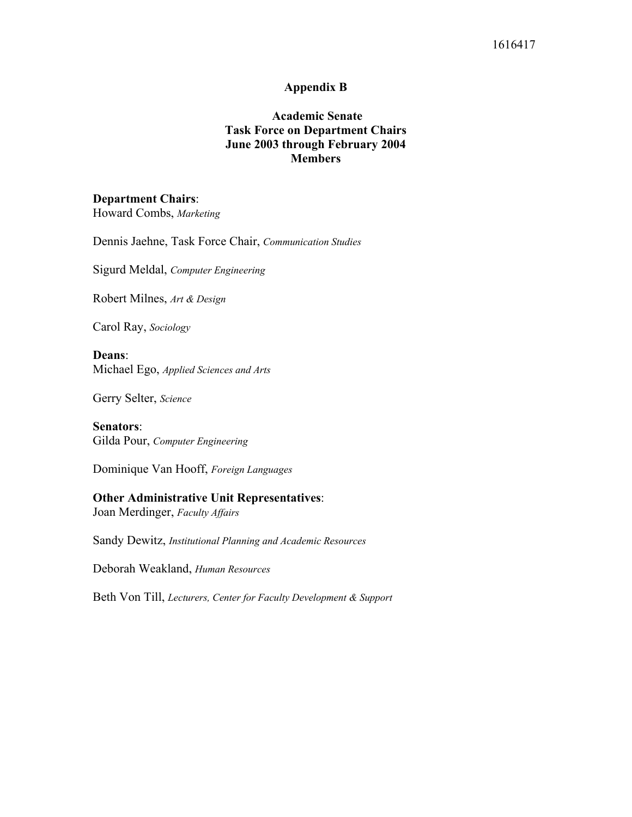#### **Appendix B**

## **Academic Senate Task Force on Department Chairs June 2003 through February 2004 Members**

## **Department Chairs**:

Howard Combs, *Marketing*

Dennis Jaehne, Task Force Chair, *Communication Studies* 

Sigurd Meldal, *Computer Engineering*

Robert Milnes, *Art & Design*

Carol Ray, *Sociology* 

**Deans**: Michael Ego, *Applied Sciences and Arts* 

Gerry Selter, *Science*

**Senators**: Gilda Pour, *Computer Engineering*

Dominique Van Hooff, *Foreign Languages*

# **Other Administrative Unit Representatives**:

Joan Merdinger, *Faculty Affairs*

Sandy Dewitz, *Institutional Planning and Academic Resources* 

Deborah Weakland, *Human Resources*

Beth Von Till, *Lecturers, Center for Faculty Development & Support*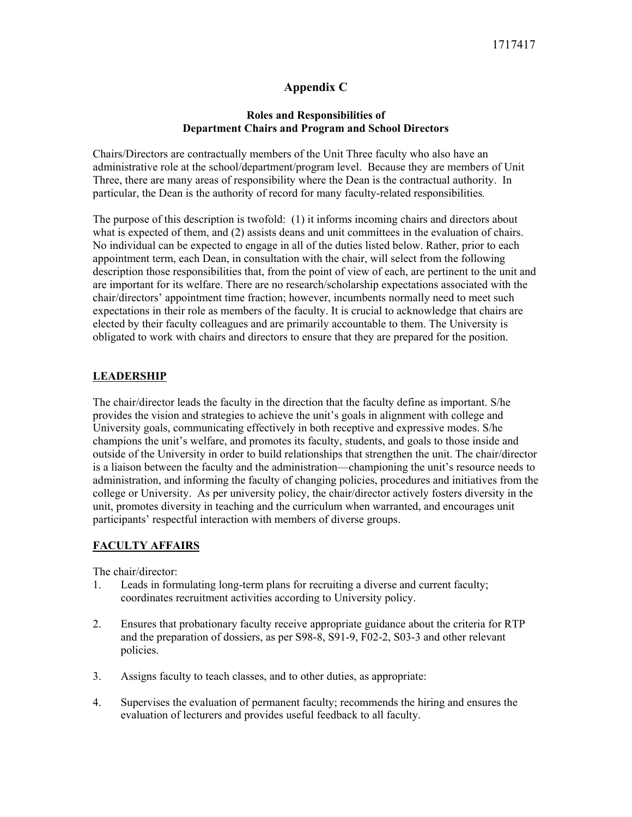## **Appendix C**

#### **Roles and Responsibilities of Department Chairs and Program and School Directors**

Chairs/Directors are contractually members of the Unit Three faculty who also have an administrative role at the school/department/program level. Because they are members of Unit Three, there are many areas of responsibility where the Dean is the contractual authority. In particular, the Dean is the authority of record for many faculty-related responsibilities*.*

The purpose of this description is twofold: (1) it informs incoming chairs and directors about what is expected of them, and (2) assists deans and unit committees in the evaluation of chairs. No individual can be expected to engage in all of the duties listed below. Rather, prior to each appointment term, each Dean, in consultation with the chair, will select from the following description those responsibilities that, from the point of view of each, are pertinent to the unit and are important for its welfare. There are no research/scholarship expectations associated with the chair/directors' appointment time fraction; however, incumbents normally need to meet such expectations in their role as members of the faculty. It is crucial to acknowledge that chairs are elected by their faculty colleagues and are primarily accountable to them. The University is obligated to work with chairs and directors to ensure that they are prepared for the position.

## **LEADERSHIP**

The chair/director leads the faculty in the direction that the faculty define as important. S/he provides the vision and strategies to achieve the unit's goals in alignment with college and University goals, communicating effectively in both receptive and expressive modes. S/he champions the unit's welfare, and promotes its faculty, students, and goals to those inside and outside of the University in order to build relationships that strengthen the unit. The chair/director is a liaison between the faculty and the administration—championing the unit's resource needs to administration, and informing the faculty of changing policies, procedures and initiatives from the college or University. As per university policy, the chair/director actively fosters diversity in the unit, promotes diversity in teaching and the curriculum when warranted, and encourages unit participants' respectful interaction with members of diverse groups.

## **FACULTY AFFAIRS**

The chair/director:

- 1. Leads in formulating long-term plans for recruiting a diverse and current faculty; coordinates recruitment activities according to University policy.
- 2. Ensures that probationary faculty receive appropriate guidance about the criteria for RTP and the preparation of dossiers, as per S98-8, S91-9, F02-2, S03-3 and other relevant policies.
- 3. Assigns faculty to teach classes, and to other duties, as appropriate:
- 4. Supervises the evaluation of permanent faculty; recommends the hiring and ensures the evaluation of lecturers and provides useful feedback to all faculty.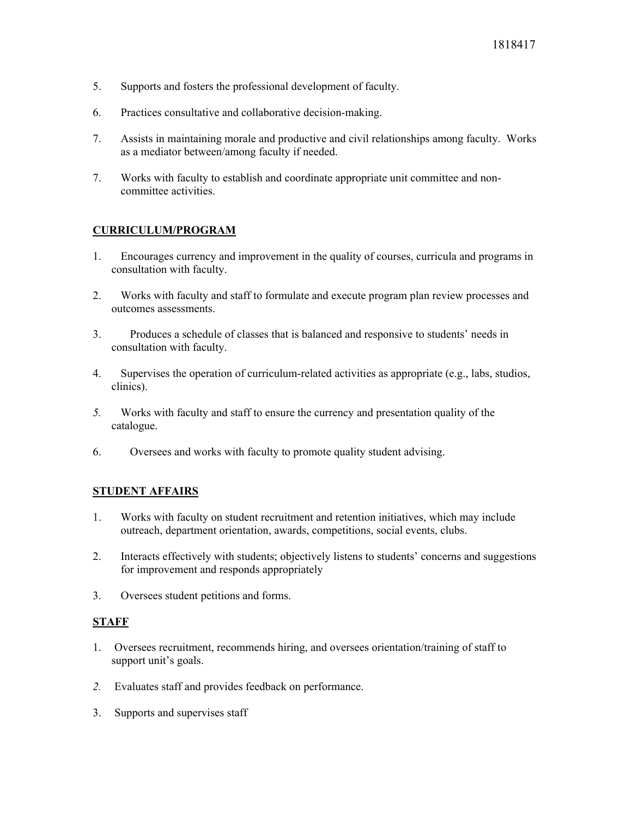- 5. Supports and fosters the professional development of faculty.
- 6. Practices consultative and collaborative decision-making.
- 7. Assists in maintaining morale and productive and civil relationships among faculty. Works as a mediator between/among faculty if needed.
- 7. Works with faculty to establish and coordinate appropriate unit committee and noncommittee activities.

## **CURRICULUM/PROGRAM**

- 1. Encourages currency and improvement in the quality of courses, curricula and programs in consultation with faculty.
- 2. Works with faculty and staff to formulate and execute program plan review processes and outcomes assessments.
- 3. Produces a schedule of classes that is balanced and responsive to students' needs in consultation with faculty.
- 4. Supervises the operation of curriculum-related activities as appropriate (e.g., labs, studios, clinics).
- *5.* Works with faculty and staff to ensure the currency and presentation quality of the catalogue.
- 6. Oversees and works with faculty to promote quality student advising.

#### **STUDENT AFFAIRS**

- 1. Works with faculty on student recruitment and retention initiatives, which may include outreach, department orientation, awards, competitions, social events, clubs.
- 2. Interacts effectively with students; objectively listens to students' concerns and suggestions for improvement and responds appropriately
- 3. Oversees student petitions and forms.

## **STAFF**

- 1. Oversees recruitment, recommends hiring, and oversees orientation/training of staff to support unit's goals.
- *2.* Evaluates staff and provides feedback on performance.
- 3. Supports and supervises staff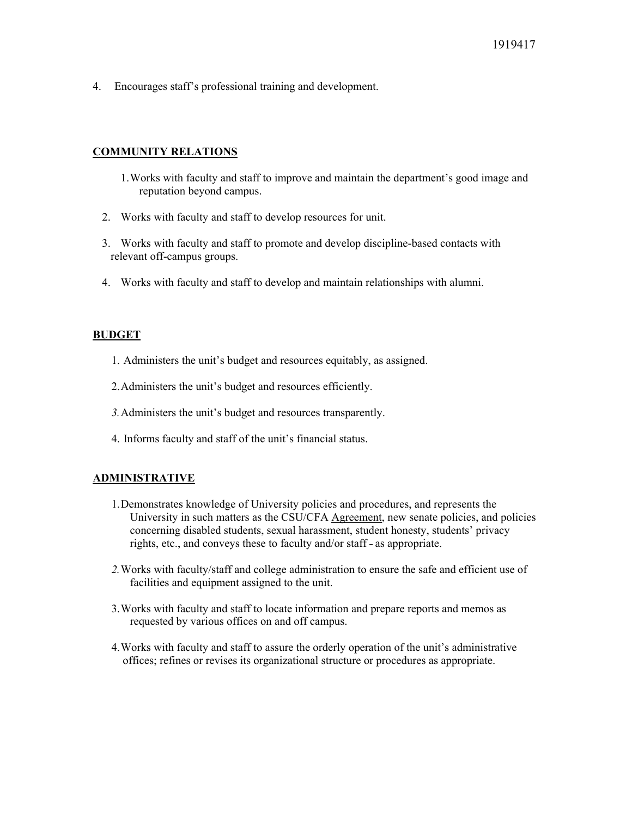4. Encourages staff's professional training and development.

#### **COMMUNITY RELATIONS**

- 1. Works with faculty and staff to improve and maintain the department's good image and reputation beyond campus.
- 2. Works with faculty and staff to develop resources for unit.
- 3. Works with faculty and staff to promote and develop discipline-based contacts with relevant off-campus groups.
- 4. Works with faculty and staff to develop and maintain relationships with alumni.

#### **BUDGET**

- 1. Administers the unit's budget and resources equitably, as assigned.
- 2. Administers the unit's budget and resources efficiently.
- *3.* Administers the unit's budget and resources transparently.
- 4. Informs faculty and staff of the unit's financial status.

#### **ADMINISTRATIVE**

- 1. Demonstrates knowledge of University policies and procedures, and represents the University in such matters as the CSU/CFA Agreement, new senate policies, and policies concerning disabled students, sexual harassment, student honesty, students' privacy rights, etc., and conveys these to faculty and/or staff - as appropriate.
- *2.* Works with faculty/staff and college administration to ensure the safe and efficient use of facilities and equipment assigned to the unit.
- 3. Works with faculty and staff to locate information and prepare reports and memos as requested by various offices on and off campus.
- 4. Works with faculty and staff to assure the orderly operation of the unit's administrative offices; refines or revises its organizational structure or procedures as appropriate.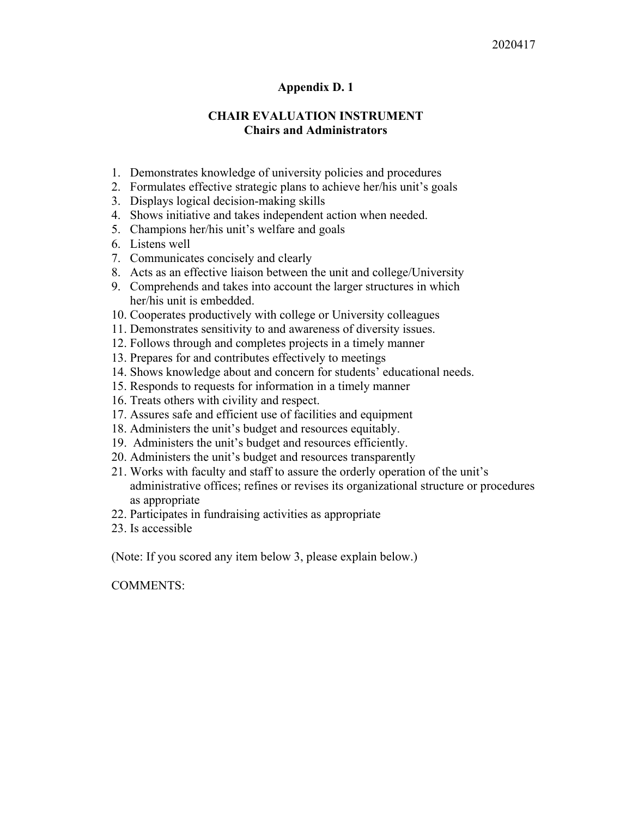## **Appendix D. 1**

## **CHAIR EVALUATION INSTRUMENT Chairs and Administrators**

- 1. Demonstrates knowledge of university policies and procedures
- 2. Formulates effective strategic plans to achieve her/his unit's goals
- 3. Displays logical decision-making skills
- 4. Shows initiative and takes independent action when needed.
- 5. Champions her/his unit's welfare and goals
- 6. Listens well
- 7. Communicates concisely and clearly
- 8. Acts as an effective liaison between the unit and college/University
- 9. Comprehends and takes into account the larger structures in which her/his unit is embedded.
- 10. Cooperates productively with college or University colleagues
- 11. Demonstrates sensitivity to and awareness of diversity issues.
- 12. Follows through and completes projects in a timely manner
- 13. Prepares for and contributes effectively to meetings
- 14. Shows knowledge about and concern for students' educational needs.
- 15. Responds to requests for information in a timely manner
- 16. Treats others with civility and respect.
- 17. Assures safe and efficient use of facilities and equipment
- 18. Administers the unit's budget and resources equitably.
- 19. Administers the unit's budget and resources efficiently.
- 20. Administers the unit's budget and resources transparently
- 21. Works with faculty and staff to assure the orderly operation of the unit's administrative offices; refines or revises its organizational structure or procedures as appropriate
- 22. Participates in fundraising activities as appropriate
- 23. Is accessible

(Note: If you scored any item below 3, please explain below.)

COMMENTS: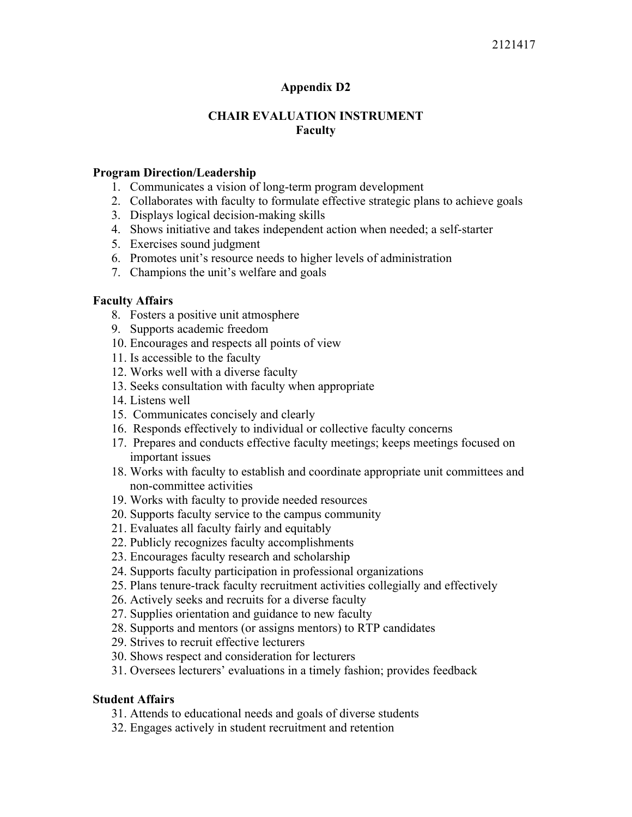## 2121417

## **Appendix D2**

## **CHAIR EVALUATION INSTRUMENT Faculty**

#### **Program Direction/Leadership**

- 1. Communicates a vision of long-term program development
- 2. Collaborates with faculty to formulate effective strategic plans to achieve goals
- 3. Displays logical decision-making skills
- 4. Shows initiative and takes independent action when needed; a self-starter
- 5. Exercises sound judgment
- 6. Promotes unit's resource needs to higher levels of administration
- 7. Champions the unit's welfare and goals

## **Faculty Affairs**

- 8. Fosters a positive unit atmosphere
- 9. Supports academic freedom
- 10. Encourages and respects all points of view
- 11. Is accessible to the faculty
- 12. Works well with a diverse faculty
- 13. Seeks consultation with faculty when appropriate
- 14. Listens well
- 15. Communicates concisely and clearly
- 16. Responds effectively to individual or collective faculty concerns
- 17. Prepares and conducts effective faculty meetings; keeps meetings focused on important issues
- 18. Works with faculty to establish and coordinate appropriate unit committees and non-committee activities
- 19. Works with faculty to provide needed resources
- 20. Supports faculty service to the campus community
- 21. Evaluates all faculty fairly and equitably
- 22. Publicly recognizes faculty accomplishments
- 23. Encourages faculty research and scholarship
- 24. Supports faculty participation in professional organizations
- 25. Plans tenure-track faculty recruitment activities collegially and effectively
- 26. Actively seeks and recruits for a diverse faculty
- 27. Supplies orientation and guidance to new faculty
- 28. Supports and mentors (or assigns mentors) to RTP candidates
- 29. Strives to recruit effective lecturers
- 30. Shows respect and consideration for lecturers
- 31. Oversees lecturers' evaluations in a timely fashion; provides feedback

## **Student Affairs**

- 31. Attends to educational needs and goals of diverse students
- 32. Engages actively in student recruitment and retention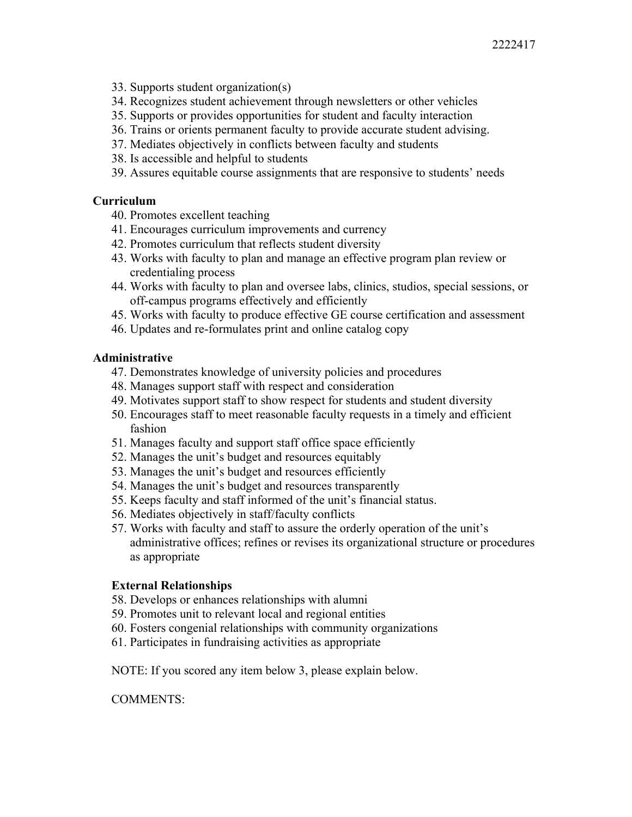- 33. Supports student organization(s)
- 34. Recognizes student achievement through newsletters or other vehicles
- 35. Supports or provides opportunities for student and faculty interaction
- 36. Trains or orients permanent faculty to provide accurate student advising.
- 37. Mediates objectively in conflicts between faculty and students
- 38. Is accessible and helpful to students
- 39. Assures equitable course assignments that are responsive to students' needs

## **Curriculum**

- 40. Promotes excellent teaching
- 41. Encourages curriculum improvements and currency
- 42. Promotes curriculum that reflects student diversity
- 43. Works with faculty to plan and manage an effective program plan review or credentialing process
- 44. Works with faculty to plan and oversee labs, clinics, studios, special sessions, or off-campus programs effectively and efficiently
- 45. Works with faculty to produce effective GE course certification and assessment
- 46. Updates and re-formulates print and online catalog copy

## **Administrative**

- 47. Demonstrates knowledge of university policies and procedures
- 48. Manages support staff with respect and consideration
- 49. Motivates support staff to show respect for students and student diversity
- 50. Encourages staff to meet reasonable faculty requests in a timely and efficient fashion
- 51. Manages faculty and support staff office space efficiently
- 52. Manages the unit's budget and resources equitably
- 53. Manages the unit's budget and resources efficiently
- 54. Manages the unit's budget and resources transparently
- 55. Keeps faculty and staff informed of the unit's financial status.
- 56. Mediates objectively in staff/faculty conflicts
- 57. Works with faculty and staff to assure the orderly operation of the unit's administrative offices; refines or revises its organizational structure or procedures as appropriate

## **External Relationships**

- 58. Develops or enhances relationships with alumni
- 59. Promotes unit to relevant local and regional entities
- 60. Fosters congenial relationships with community organizations
- 61. Participates in fundraising activities as appropriate

NOTE: If you scored any item below 3, please explain below.

COMMENTS: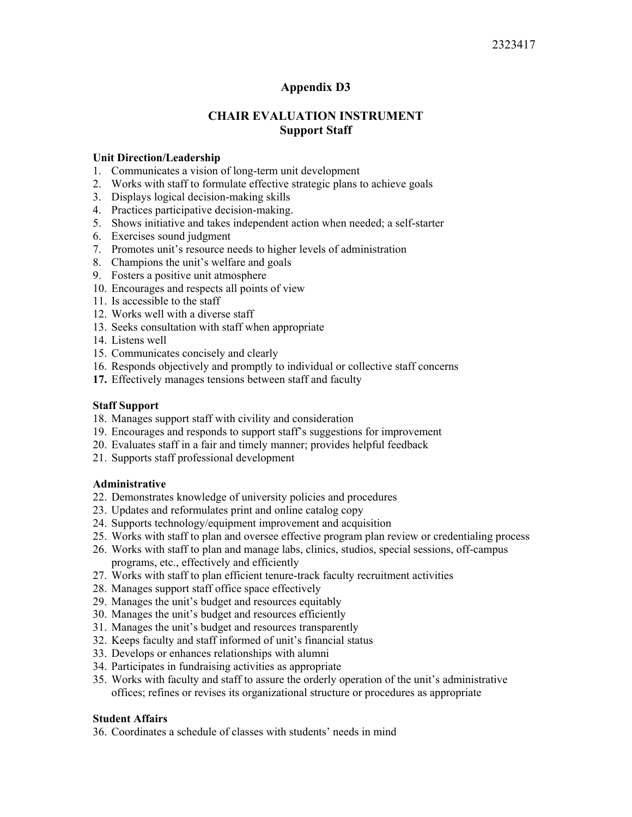## **Appendix D3**

## **CHAIR EVALUATION INSTRUMENT Support Staff**

#### **Unit Direction/Leadership**

- 1. Communicates a vision of long-term unit development
- 2. Works with staff to formulate effective strategic plans to achieve goals
- 3. Displays logical decision-making skills
- 4. Practices participative decision-making.
- 5. Shows initiative and takes independent action when needed; a self-starter
- 6. Exercises sound judgment
- 7. Promotes unit's resource needs to higher levels of administration
- 8. Champions the unit's welfare and goals
- 9. Fosters a positive unit atmosphere
- 10. Encourages and respects all points of view
- 11. Is accessible to the staff
- 12. Works well with a diverse staff
- 13. Seeks consultation with staff when appropriate
- 14. Listens well
- 15. Communicates concisely and clearly
- 16. Responds objectively and promptly to individual or collective staff concerns
- **17.** Effectively manages tensions between staff and faculty

#### **Staff Support**

- 18. Manages support staff with civility and consideration
- 19. Encourages and responds to support staff's suggestions for improvement
- 20. Evaluates staff in a fair and timely manner; provides helpful feedback
- 21. Supports staff professional development

#### **Administrative**

- 22. Demonstrates knowledge of university policies and procedures
- 23. Updates and reformulates print and online catalog copy
- 24. Supports technology/equipment improvement and acquisition
- 25. Works with staff to plan and oversee effective program plan review or credentialing process
- 26. Works with staff to plan and manage labs, clinics, studios, special sessions, off-campus programs, etc., effectively and efficiently
- 27. Works with staff to plan efficient tenure-track faculty recruitment activities
- 28. Manages support staff office space effectively
- 29. Manages the unit's budget and resources equitably
- 30. Manages the unit's budget and resources efficiently
- 31. Manages the unit's budget and resources transparently
- 32. Keeps faculty and staff informed of unit's financial status
- 33. Develops or enhances relationships with alumni
- 34. Participates in fundraising activities as appropriate
- 35. Works with faculty and staff to assure the orderly operation of the unit's administrative offices; refines or revises its organizational structure or procedures as appropriate

#### **Student Affairs**

36. Coordinates a schedule of classes with students' needs in mind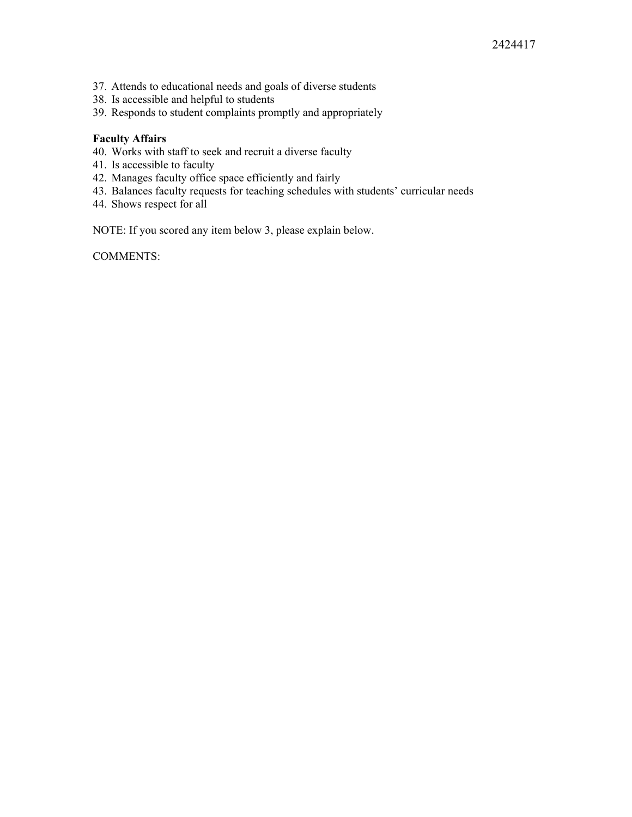- 37. Attends to educational needs and goals of diverse students
- 38. Is accessible and helpful to students
- 39. Responds to student complaints promptly and appropriately

#### **Faculty Affairs**

- 40. Works with staff to seek and recruit a diverse faculty
- 41. Is accessible to faculty
- 42. Manages faculty office space efficiently and fairly
- 43. Balances faculty requests for teaching schedules with students' curricular needs
- 44. Shows respect for all

NOTE: If you scored any item below 3, please explain below.

COMMENTS: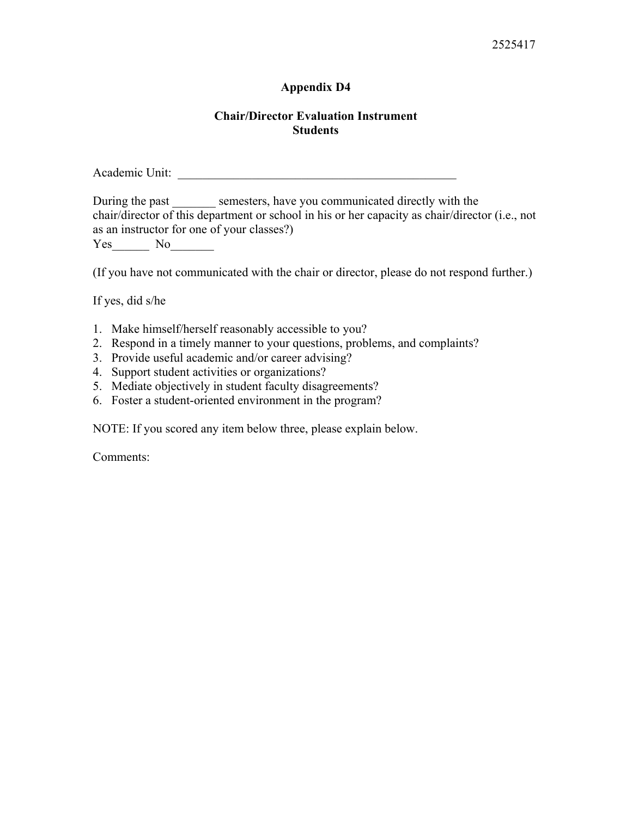## 2525417

## **Appendix D4**

## **Chair/Director Evaluation Instrument Students**

Academic Unit: \_\_\_\_\_\_\_\_\_\_\_\_\_\_\_\_\_\_\_\_\_\_\_\_\_\_\_\_\_\_\_\_\_\_\_\_\_\_\_\_\_\_\_\_\_

During the past \_\_\_\_\_\_\_ semesters, have you communicated directly with the chair/director of this department or school in his or her capacity as chair/director (i.e., not as an instructor for one of your classes?) Yes No

(If you have not communicated with the chair or director, please do not respond further.)

If yes, did s/he

- 1. Make himself/herself reasonably accessible to you?
- 2. Respond in a timely manner to your questions, problems, and complaints?
- 3. Provide useful academic and/or career advising?
- 4. Support student activities or organizations?
- 5. Mediate objectively in student faculty disagreements?
- 6. Foster a student-oriented environment in the program?

NOTE: If you scored any item below three, please explain below.

Comments: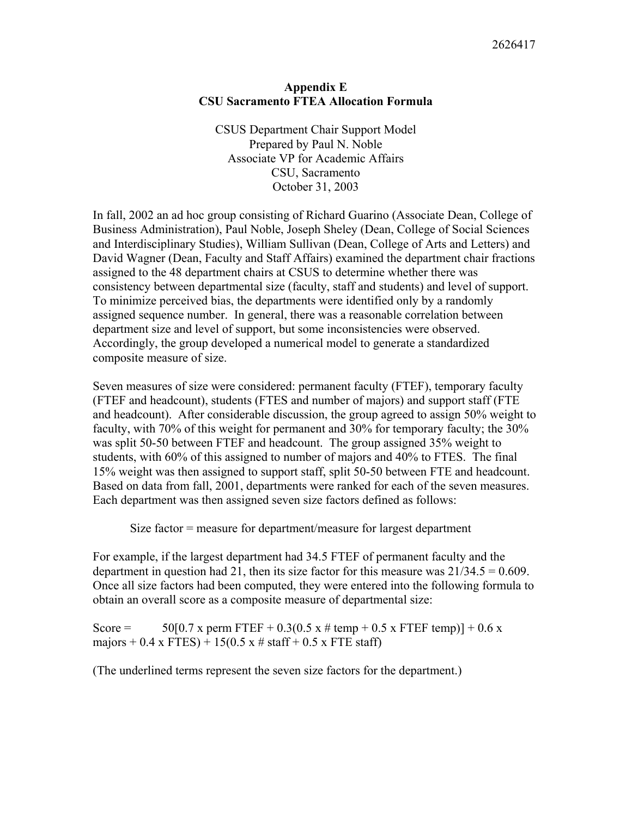## **Appendix E CSU Sacramento FTEA Allocation Formula**

CSUS Department Chair Support Model Prepared by Paul N. Noble Associate VP for Academic Affairs CSU, Sacramento October 31, 2003

In fall, 2002 an ad hoc group consisting of Richard Guarino (Associate Dean, College of Business Administration), Paul Noble, Joseph Sheley (Dean, College of Social Sciences and Interdisciplinary Studies), William Sullivan (Dean, College of Arts and Letters) and David Wagner (Dean, Faculty and Staff Affairs) examined the department chair fractions assigned to the 48 department chairs at CSUS to determine whether there was consistency between departmental size (faculty, staff and students) and level of support. To minimize perceived bias, the departments were identified only by a randomly assigned sequence number. In general, there was a reasonable correlation between department size and level of support, but some inconsistencies were observed. Accordingly, the group developed a numerical model to generate a standardized composite measure of size.

Seven measures of size were considered: permanent faculty (FTEF), temporary faculty (FTEF and headcount), students (FTES and number of majors) and support staff (FTE and headcount). After considerable discussion, the group agreed to assign 50% weight to faculty, with 70% of this weight for permanent and 30% for temporary faculty; the 30% was split 50-50 between FTEF and headcount. The group assigned 35% weight to students, with 60% of this assigned to number of majors and 40% to FTES. The final 15% weight was then assigned to support staff, split 50-50 between FTE and headcount. Based on data from fall, 2001, departments were ranked for each of the seven measures. Each department was then assigned seven size factors defined as follows:

Size factor = measure for department/measure for largest department

For example, if the largest department had 34.5 FTEF of permanent faculty and the department in question had 21, then its size factor for this measure was  $21/34.5 = 0.609$ . Once all size factors had been computed, they were entered into the following formula to obtain an overall score as a composite measure of departmental size:

Score =  $50[0.7 \text{ x } \text{perm} \text{ FTEF} + 0.3(0.5 \text{ x } \# \text{ temp} + 0.5 \text{ x } \text{ FTEF} \text{ temp})] + 0.6 \text{ x}$ majors + 0.4 x FTES) + 15(0.5 x # staff + 0.5 x FTE staff)

(The underlined terms represent the seven size factors for the department.)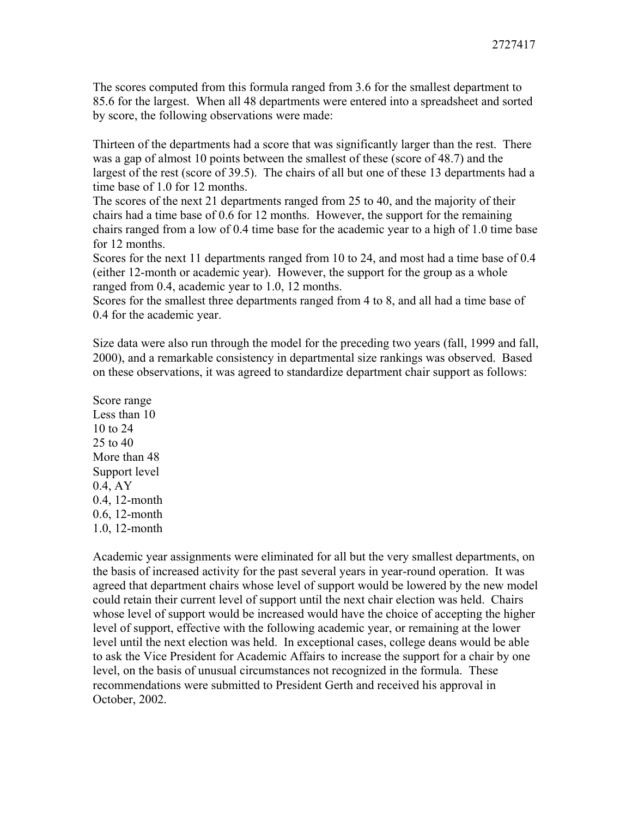The scores computed from this formula ranged from 3.6 for the smallest department to 85.6 for the largest. When all 48 departments were entered into a spreadsheet and sorted by score, the following observations were made:

Thirteen of the departments had a score that was significantly larger than the rest. There was a gap of almost 10 points between the smallest of these (score of 48.7) and the largest of the rest (score of 39.5). The chairs of all but one of these 13 departments had a time base of 1.0 for 12 months.

The scores of the next 21 departments ranged from 25 to 40, and the majority of their chairs had a time base of 0.6 for 12 months. However, the support for the remaining chairs ranged from a low of 0.4 time base for the academic year to a high of 1.0 time base for 12 months.

Scores for the next 11 departments ranged from 10 to 24, and most had a time base of 0.4 (either 12-month or academic year). However, the support for the group as a whole ranged from 0.4, academic year to 1.0, 12 months.

Scores for the smallest three departments ranged from 4 to 8, and all had a time base of 0.4 for the academic year.

Size data were also run through the model for the preceding two years (fall, 1999 and fall, 2000), and a remarkable consistency in departmental size rankings was observed. Based on these observations, it was agreed to standardize department chair support as follows:

Score range Less than 10 10 to 24 25 to 40 More than 48 Support level 0.4, AY 0.4, 12-month 0.6, 12-month 1.0, 12-month

Academic year assignments were eliminated for all but the very smallest departments, on the basis of increased activity for the past several years in year-round operation. It was agreed that department chairs whose level of support would be lowered by the new model could retain their current level of support until the next chair election was held. Chairs whose level of support would be increased would have the choice of accepting the higher level of support, effective with the following academic year, or remaining at the lower level until the next election was held. In exceptional cases, college deans would be able to ask the Vice President for Academic Affairs to increase the support for a chair by one level, on the basis of unusual circumstances not recognized in the formula. These recommendations were submitted to President Gerth and received his approval in October, 2002.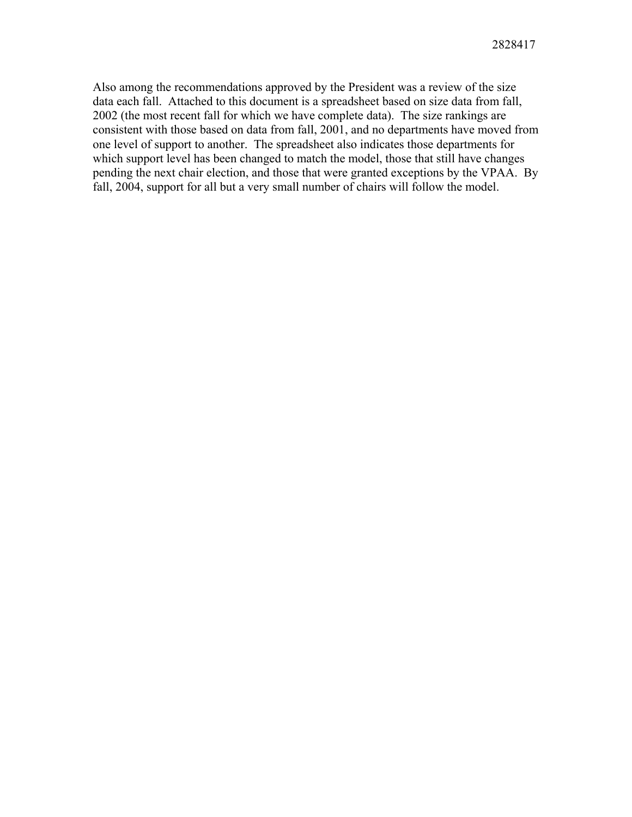Also among the recommendations approved by the President was a review of the size data each fall. Attached to this document is a spreadsheet based on size data from fall, 2002 (the most recent fall for which we have complete data). The size rankings are consistent with those based on data from fall, 2001, and no departments have moved from one level of support to another. The spreadsheet also indicates those departments for which support level has been changed to match the model, those that still have changes pending the next chair election, and those that were granted exceptions by the VPAA. By fall, 2004, support for all but a very small number of chairs will follow the model.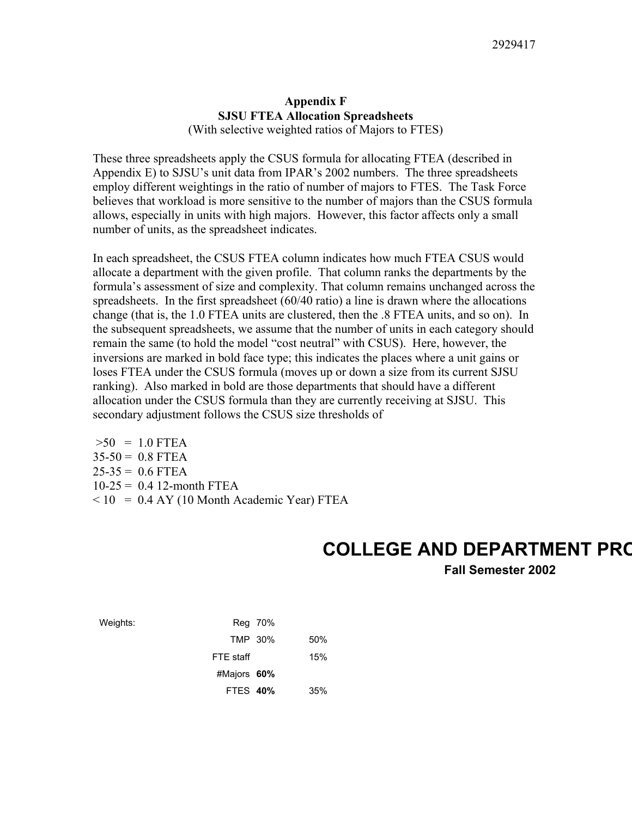### **Appendix F SJSU FTEA Allocation Spreadsheets**  (With selective weighted ratios of Majors to FTES)

These three spreadsheets apply the CSUS formula for allocating FTEA (described in Appendix E) to SJSU's unit data from IPAR's 2002 numbers. The three spreadsheets employ different weightings in the ratio of number of majors to FTES. The Task Force believes that workload is more sensitive to the number of majors than the CSUS formula allows, especially in units with high majors. However, this factor affects only a small number of units, as the spreadsheet indicates.

In each spreadsheet, the CSUS FTEA column indicates how much FTEA CSUS would allocate a department with the given profile. That column ranks the departments by the formula's assessment of size and complexity. That column remains unchanged across the spreadsheets. In the first spreadsheet (60/40 ratio) a line is drawn where the allocations change (that is, the 1.0 FTEA units are clustered, then the .8 FTEA units, and so on). In the subsequent spreadsheets, we assume that the number of units in each category should remain the same (to hold the model "cost neutral" with CSUS). Here, however, the inversions are marked in bold face type; this indicates the places where a unit gains or loses FTEA under the CSUS formula (moves up or down a size from its current SJSU ranking). Also marked in bold are those departments that should have a different allocation under the CSUS formula than they are currently receiving at SJSU. This secondary adjustment follows the CSUS size thresholds of

 $>50$  = 1.0 FTEA  $35-50 = 0.8$  FTEA  $25-35 = 0.6$  FTEA  $10-25 = 0.4$  12-month FTEA  $<$  10 = 0.4 AY (10 Month Academic Year) FTEA

# **COLLEGE AND DEPARTMENT PRO**

**Fall Semester 2002** 

| Weights: |                 | Reg 70% |     |
|----------|-----------------|---------|-----|
|          | TMP 30%         |         | 50% |
|          | FTE staff       |         | 15% |
|          | #Majors 60%     |         |     |
|          | <b>FTES 40%</b> |         | 35% |